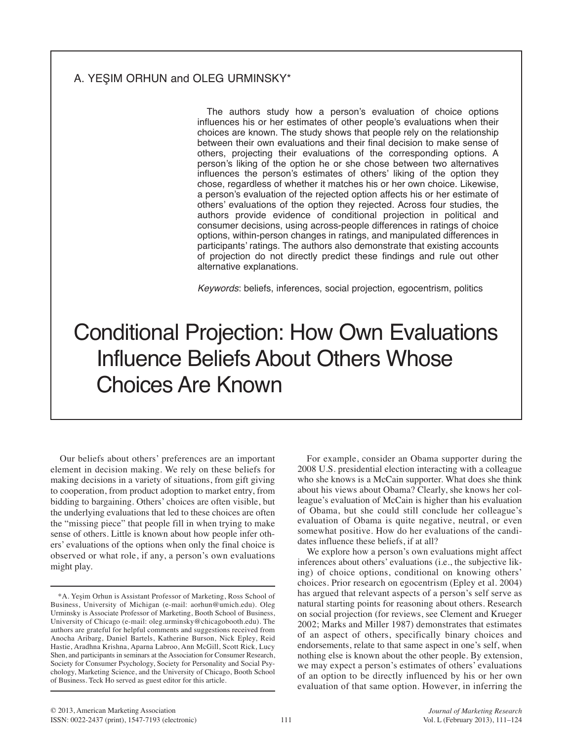### A. YEŞIM ORHUN and OLEG URMINSKY\*

The authors study how a person's evaluation of choice options influences his or her estimates of other people's evaluations when their choices are known. The study shows that people rely on the relationship between their own evaluations and their final decision to make sense of others, projecting their evaluations of the corresponding options. A person's liking of the option he or she chose between two alternatives influences the person's estimates of others' liking of the option they chose, regardless of whether it matches his or her own choice. Likewise, a person's evaluation of the rejected option affects his or her estimate of others' evaluations of the option they rejected. Across four studies, the authors provide evidence of conditional projection in political and consumer decisions, using across-people differences in ratings of choice options, within-person changes in ratings, and manipulated differences in participants' ratings. The authors also demonstrate that existing accounts of projection do not directly predict these findings and rule out other alternative explanations.

*Keywords*: beliefs, inferences, social projection, egocentrism, politics

# Conditional Projection: How Own Evaluations Influence Beliefs About Others Whose Choices Are Known

Our beliefs about others' preferences are an important element in decision making. We rely on these beliefs for making decisions in a variety of situations, from gift giving to cooperation, from product adoption to market entry, from bidding to bargaining. Others' choices are often visible, but the underlying evaluations that led to these choices are often the "missing piece" that people fill in when trying to make sense of others. Little is known about how people infer others' evaluations of the options when only the final choice is observed or what role, if any, a person's own evaluations might play.

For example, consider an Obama supporter during the 2008 U.S. presidential election interacting with a colleague who she knows is a McCain supporter. What does she think about his views about Obama? Clearly, she knows her colleague's evaluation of McCain is higher than his evaluation of Obama, but she could still conclude her colleague's evaluation of Obama is quite negative, neutral, or even somewhat positive. How do her evaluations of the candidates influence these beliefs, if at all?

We explore how a person's own evaluations might affect inferences about others' evaluations (i.e., the subjective liking) of choice options, conditional on knowing others' choices. Prior research on egocentrism (Epley et al. 2004) has argued that relevant aspects of a person's self serve as natural starting points for reasoning about others. Research on social projection (for reviews, see Clement and Krueger 2002; Marks and Miller 1987) demonstrates that estimates of an aspect of others, specifically binary choices and endorsements, relate to that same aspect in one's self, when nothing else is known about the other people. By extension, we may expect a person's estimates of others' evaluations of an option to be directly influenced by his or her own evaluation of that same option. However, in inferring the

<sup>\*</sup>A. Yeşim Orhun is Assistant Professor of Marketing, Ross School of Business, University of Michigan (e-mail: aorhun@umich.edu). Oleg Urminsky is Associate Professor of Marketing, Booth School of Business, University of Chicago (e-mail: oleg.urminsky@chicagobooth.edu). The authors are grateful for helpful comments and suggestions received from Anocha Aribarg, Daniel Bartels, Katherine Burson, Nick Epley, Reid Hastie, Aradhna Krishna, Aparna Labroo, Ann McGill, Scott Rick, Lucy Shen, and participants in seminars at the Association for Consumer Research, Society for Consumer Psychology, Society for Personality and Social Psychology, Marketing Science, and the University of Chicago, Booth School of Business. Teck Ho served as guest editor for this article.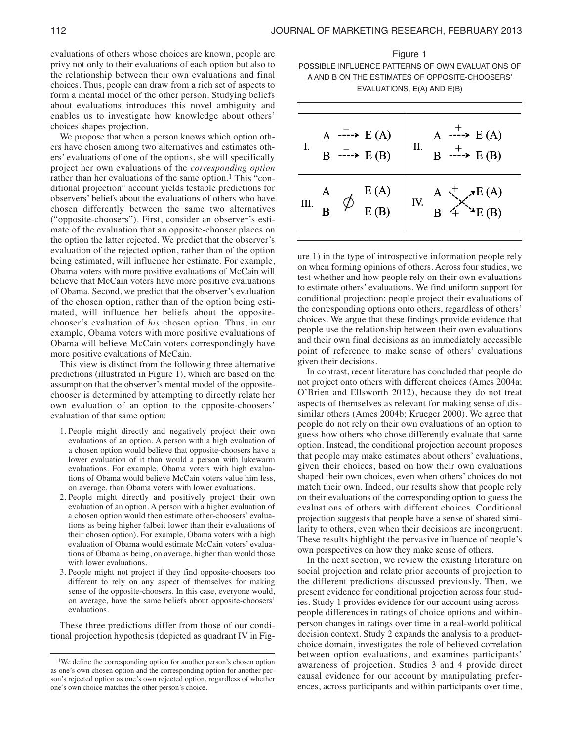evaluations of others whose choices are known, people are privy not only to their evaluations of each option but also to the relationship between their own evaluations and final choices. Thus, people can draw from a rich set of aspects to form a mental model of the other person. Studying beliefs about evaluations introduces this novel ambiguity and enables us to investigate how knowledge about others' choices shapes projection.

We propose that when a person knows which option others have chosen among two alternatives and estimates others' evaluations of one of the options, she will specifically project her own evaluations of the *corresponding option* rather than her evaluations of the same option.<sup>1</sup> This "conditional projection" account yields testable predictions for observers' beliefs about the evaluations of others who have chosen differently between the same two alternatives ("opposite-choosers"). First, consider an observer's estimate of the evaluation that an opposite-chooser places on the option the latter rejected. We predict that the observer's evaluation of the rejected option, rather than of the option being estimated, will influence her estimate. For example, Obama voters with more positive evaluations of McCain will believe that McCain voters have more positive evaluations of Obama. Second, we predict that the observer's evaluation of the chosen option, rather than of the option being estimated, will influence her beliefs about the oppositechooser's evaluation of *his* chosen option. Thus, in our example, Obama voters with more positive evaluations of Obama will believe McCain voters correspondingly have more positive evaluations of McCain.

This view is distinct from the following three alternative predictions (illustrated in Figure 1), which are based on the assumption that the observer's mental model of the oppositechooser is determined by attempting to directly relate her own evaluation of an option to the opposite-choosers' evaluation of that same option:

- 1. People might directly and negatively project their own evaluations of an option. A person with a high evaluation of a chosen option would believe that opposite-choosers have a lower evaluation of it than would a person with lukewarm evaluations. For example, Obama voters with high evaluations of Obama would believe McCain voters value him less, on average, than Obama voters with lower evaluations.
- 2. People might directly and positively project their own evaluation of an option. A person with a higher evaluation of a chosen option would then estimate other-choosers' evaluations as being higher (albeit lower than their evaluations of their chosen option). For example, Obama voters with a high evaluation of Obama would estimate McCain voters' evaluations of Obama as being, on average, higher than would those with lower evaluations.
- 3. People might not project if they find opposite-choosers too different to rely on any aspect of themselves for making sense of the opposite-choosers. In this case, everyone would, on average, have the same beliefs about opposite-choosers' evaluations.

These three predictions differ from those of our conditional projection hypothesis (depicted as quadrant IV in Fig-

Figure 1 POSSIBLE INFLUENCE PATTERNS OF OWN EVALUATIONS OF A AND B ON THE ESTIMATES OF OPPOSITE-CHOOSERS' EVALUATIONS, E(A) AND E(B)

| I. | A                | ーーーーチ | $---\rightarrow E(A)$<br>E(B) | Π.  |   | $\begin{array}{ccc}\n&\xrightarrow{+} & E(A) \\ &+ & E(B)\n\end{array}$ |
|----|------------------|-------|-------------------------------|-----|---|-------------------------------------------------------------------------|
| Ш. | $\mathbf A$<br>R |       | E(A)<br>E(B)                  | IV. | A | $\boldsymbol{\pi} \boldsymbol{\mathrm{E}}$ (A)<br>E (B)                 |

ure 1) in the type of introspective information people rely on when forming opinions of others. Across four studies, we test whether and how people rely on their own evaluations to estimate others' evaluations. We find uniform support for conditional projection: people project their evaluations of the corresponding options onto others, regardless of others' choices. We argue that these findings provide evidence that people use the relationship between their own evaluations and their own final decisions as an immediately accessible point of reference to make sense of others' evaluations given their decisions.

In contrast, recent literature has concluded that people do not project onto others with different choices (Ames 2004a; O'Brien and Ellsworth 2012), because they do not treat aspects of themselves as relevant for making sense of dissimilar others (Ames 2004b; Krueger 2000). We agree that people do not rely on their own evaluations of an option to guess how others who chose differently evaluate that same option. Instead, the conditional projection account proposes that people may make estimates about others' evaluations, given their choices, based on how their own evaluations shaped their own choices, even when others' choices do not match their own. Indeed, our results show that people rely on their evaluations of the corresponding option to guess the evaluations of others with different choices. Conditional projection suggests that people have a sense of shared similarity to others, even when their decisions are incongruent. These results highlight the pervasive influence of people's own perspectives on how they make sense of others.

In the next section, we review the existing literature on social projection and relate prior accounts of projection to the different predictions discussed previously. Then, we present evidence for conditional projection across four studies. Study 1 provides evidence for our account using acrosspeople differences in ratings of choice options and withinperson changes in ratings over time in a real-world political decision context. Study 2 expands the analysis to a productchoice domain, investigates the role of believed correlation between option evaluations, and examines participants' awareness of projection. Studies 3 and 4 provide direct causal evidence for our account by manipulating preferences, across participants and within participants over time,

<sup>1</sup>We define the corresponding option for another person's chosen option as one's own chosen option and the corresponding option for another person's rejected option as one's own rejected option, regardless of whether one's own choice matches the other person's choice.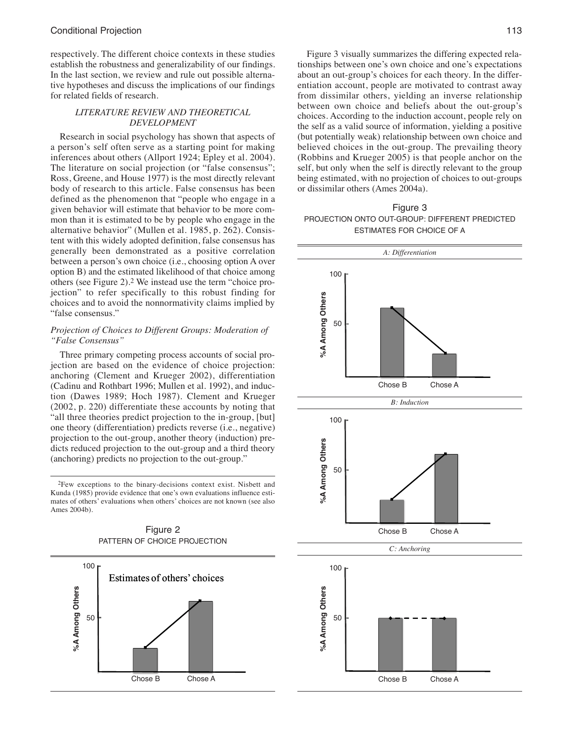respectively. The different choice contexts in these studies establish the robustness and generalizability of our findings. In the last section, we review and rule out possible alternative hypotheses and discuss the implications of our findings for related fields of research.

#### *LITERATURE REVIEW AND THEORETICAL DEVELOPMENT*

Research in social psychology has shown that aspects of a person's self often serve as a starting point for making inferences about others (Allport 1924; Epley et al. 2004). The literature on social projection (or "false consensus"; Ross, Greene, and House 1977) is the most directly relevant body of research to this article. False consensus has been defined as the phenomenon that "people who engage in a given behavior will estimate that behavior to be more common than it is estimated to be by people who engage in the alternative behavior" (Mullen et al. 1985, p. 262). Consistent with this widely adopted definition, false consensus has generally been demonstrated as a positive correlation between a person's own choice (i.e., choosing option A over option B) and the estimated likelihood of that choice among others (see Figure 2).2 We instead use the term "choice projection" to refer specifically to this robust finding for choices and to avoid the nonnormativity claims implied by "false consensus."

#### *Projection of Choices to Different Groups: Moderation of "False Consensus"*

Three primary competing process accounts of social projection are based on the evidence of choice projection: anchoring (Clement and Krueger 2002), differentiation (Cadinu and Rothbart 1996; Mullen et al. 1992), and induction (Dawes 1989; Hoch 1987). Clement and Krueger (2002, p. 220) differentiate these accounts by noting that "all three theories predict projection to the in-group, [but] one theory (differentiation) predicts reverse (i.e., negative) projection to the out-group, another theory (induction) predicts reduced projection to the out-group and a third theory (anchoring) predicts no projection to the out-group."

2Few exceptions to the binary-decisions context exist. Nisbett and Kunda (1985) provide evidence that one's own evaluations influence estimates of others' evaluations when others' choices are not known (see also Ames 2004b).



Figure 2 PATTERN OF CHOICE PROJECTION

Figure 3 visually summarizes the differing expected relationships between one's own choice and one's expectations about an out-group's choices for each theory. In the differentiation account, people are motivated to contrast away from dissimilar others, yielding an inverse relationship between own choice and beliefs about the out-group's choices. According to the induction account, people rely on the self as a valid source of information, yielding a positive (but potentially weak) relationship between own choice and believed choices in the out-group. The prevailing theory (Robbins and Krueger 2005) is that people anchor on the self, but only when the self is directly relevant to the group being estimated, with no projection of choices to out-groups or dissimilar others (Ames 2004a).

Figure 3 PROJECTION ONTO OUT-GROUP: DIFFERENT PREDICTED ESTIMATES FOR CHOICE OF A

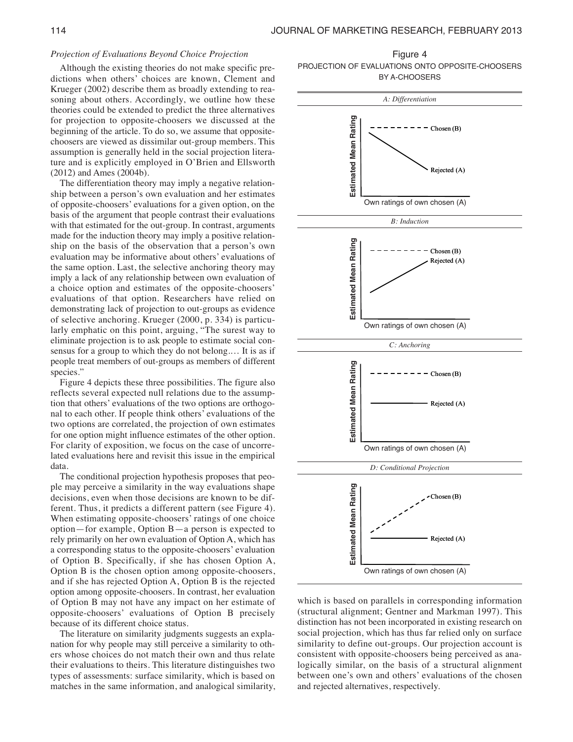#### *Projection of Evaluations Beyond Choice Projection*

Although the existing theories do not make specific predictions when others' choices are known, Clement and Krueger (2002) describe them as broadly extending to reasoning about others. Accordingly, we outline how these theories could be extended to predict the three alternatives for projection to opposite-choosers we discussed at the beginning of the article. To do so, we assume that oppositechoosers are viewed as dissimilar out-group members. This assumption is generally held in the social projection literature and is explicitly employed in O'Brien and Ellsworth (2012) and Ames (2004b).

The differentiation theory may imply a negative relationship between a person's own evaluation and her estimates of opposite-choosers' evaluations for a given option, on the basis of the argument that people contrast their evaluations with that estimated for the out-group. In contrast, arguments made for the induction theory may imply a positive relationship on the basis of the observation that a person's own evaluation may be informative about others' evaluations of the same option. Last, the selective anchoring theory may imply a lack of any relationship between own evaluation of a choice option and estimates of the opposite-choosers' evaluations of that option. Researchers have relied on demonstrating lack of projection to out-groups as evidence of selective anchoring. Krueger (2000, p. 334) is particularly emphatic on this point, arguing, "The surest way to eliminate projection is to ask people to estimate social consensus for a group to which they do not belong.… It is as if people treat members of out-groups as members of different species."

Figure 4 depicts these three possibilities. The figure also reflects several expected null relations due to the assumption that others' evaluations of the two options are orthogonal to each other. If people think others' evaluations of the two options are correlated, the projection of own estimates for one option might influence estimates of the other option. For clarity of exposition, we focus on the case of uncorrelated evaluations here and revisit this issue in the empirical data.

The conditional projection hypothesis proposes that people may perceive a similarity in the way evaluations shape decisions, even when those decisions are known to be different. Thus, it predicts a different pattern (see Figure 4). When estimating opposite-choosers' ratings of one choice option—for example, Option B—a person is expected to rely primarily on her own evaluation of Option A, which has a corresponding status to the opposite-choosers' evaluation of Option B. Specifically, if she has chosen Option A, Option B is the chosen option among opposite-choosers, and if she has rejected Option A, Option B is the rejected option among opposite-choosers. In contrast, her evaluation of Option B may not have any impact on her estimate of opposite-choosers' evaluations of Option B precisely because of its different choice status.

The literature on similarity judgments suggests an explanation for why people may still perceive a similarity to others whose choices do not match their own and thus relate their evaluations to theirs. This literature distinguishes two types of assessments: surface similarity, which is based on matches in the same information, and analogical similarity,

Figure 4 PROJECTION OF EVALUATIONS ONTO OPPOSITE-CHOOSERS BY A-CHOOSERS



which is based on parallels in corresponding information (structural alignment; Gentner and Markman 1997). This distinction has not been incorporated in existing research on social projection, which has thus far relied only on surface similarity to define out-groups. Our projection account is consistent with opposite-choosers being perceived as analogically similar, on the basis of a structural alignment between one's own and others' evaluations of the chosen and rejected alternatives, respectively.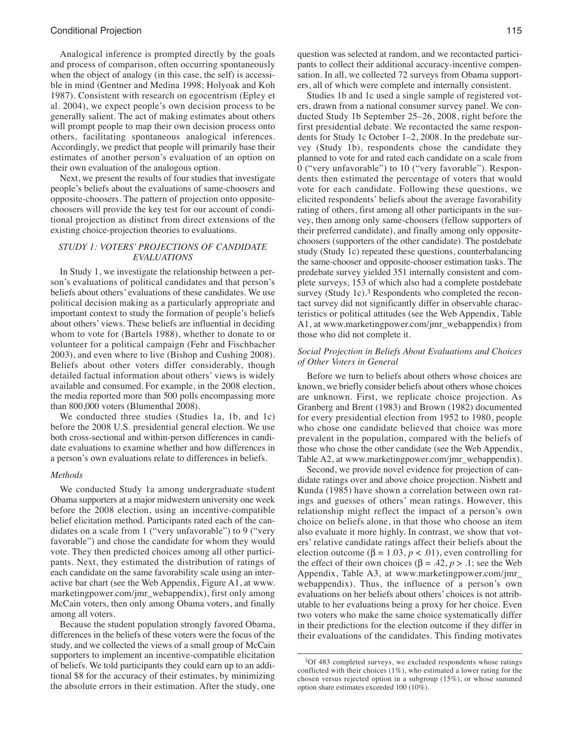Analogical inference is prompted directly by the goals and process of comparison, often occurring spontaneously when the object of analogy (in this case, the self) is accessible in mind (Gentner and Medina 1998; Holyoak and Koh 1987). Consistent with research on egocentrism (Epley et al. 2004), we expect people's own decision process to be generally salient. The act of making estimates about others will prompt people to map their own decision process onto others, facilitating spontaneous analogical inferences. Accordingly, we predict that people will primarily base their estimates of another person's evaluation of an option on their own evaluation of the analogous option.

Next, we present the results of four studies that investigate people's beliefs about the evaluations of same-choosers and opposite-choosers. The pattern of projection onto oppositechoosers will provide the key test for our account of conditional projection as distinct from direct extensions of the existing choice-projection theories to evaluations.

#### *STUDY 1: VOTERS' PROJECTIONS OF CANDIDATE EVALUATIONS*

In Study 1, we investigate the relationship between a person's evaluations of political candidates and that person's beliefs about others' evaluations of these candidates. We use political decision making as a particularly appropriate and important context to study the formation of people's beliefs about others' views. These beliefs are influential in deciding whom to vote for (Bartels 1988), whether to donate to or volunteer for a political campaign (Fehr and Fischbacher 2003), and even where to live (Bishop and Cushing 2008). Beliefs about other voters differ considerably, though detailed factual information about others' views is widely available and consumed. For example, in the 2008 election, the media reported more than 500 polls encompassing more than 800,000 voters (Blumenthal 2008).

We conducted three studies (Studies 1a, 1b, and 1c) before the 2008 U.S. presidential general election. We use both cross-sectional and within-person differences in candidate evaluations to examine whether and how differences in a person's own evaluations relate to differences in beliefs.

#### *Methods*

We conducted Study 1a among undergraduate student Obama supporters at a major midwestern university one week before the 2008 election, using an incentive-compatible belief elicitation method. Participants rated each of the candidates on a scale from 1 ("very unfavorable") to 9 ("very favorable") and chose the candidate for whom they would vote. They then predicted choices among all other participants. Next, they estimated the distribution of ratings of each candidate on the same favorability scale using an interactive bar chart (see the Web Appendix, Figure A1, at www. marketingpower.com/jmr\_webappendix), first only among McCain voters, then only among Obama voters, and finally among all voters.

Because the student population strongly favored Obama, differences in the beliefs of these voters were the focus of the study, and we collected the views of a small group of McCain supporters to implement an incentive-compatible elicitation of beliefs. We told participants they could earn up to an additional \$8 for the accuracy of their estimates, by minimizing the absolute errors in their estimation. After the study, one

question was selected at random, and we recontacted participants to collect their additional accuracy-incentive compensation. In all, we collected 72 surveys from Obama supporters, all of which were complete and internally consistent.

Studies 1b and 1c used a single sample of registered voters, drawn from a national consumer survey panel. We conducted Study 1b September 25–26, 2008, right before the first presidential debate. We recontacted the same respondents for Study 1c October 1–2, 2008. In the predebate survey (Study 1b), respondents chose the candidate they planned to vote for and rated each candidate on a scale from 0 ("very unfavorable") to 10 ("very favorable"). Respondents then estimated the percentage of voters that would vote for each candidate. Following these questions, we elicited respondents' beliefs about the average favorability rating of others, first among all other participants in the survey, then among only same-choosers (fellow supporters of their preferred candidate), and finally among only oppositechoosers (supporters of the other candidate). The postdebate study (Study 1c) repeated these questions, counterbalancing the same-chooser and opposite-chooser estimation tasks. The predebate survey yielded 351 internally consistent and complete surveys, 153 of which also had a complete postdebate survey (Study 1c).<sup>3</sup> Respondents who completed the recontact survey did not significantly differ in observable characteristics or political attitudes (see the Web Appendix, Table A1, at www.marketingpower.com/jmr\_webappendix) from those who did not complete it.

#### *Social Projection in Beliefs About Evaluations and Choices of Other Voters in General*

Before we turn to beliefs about others whose choices are known, we briefly consider beliefs about others whose choices are unknown. First, we replicate choice projection. As Granberg and Brent (1983) and Brown (1982) documented for every presidential election from 1952 to 1980, people who chose one candidate believed that choice was more prevalent in the population, compared with the beliefs of those who chose the other candidate (see the Web Appendix, Table A2, at www.marketingpower.com/jmr\_webappendix).

Second, we provide novel evidence for projection of candidate ratings over and above choice projection. Nisbett and Kunda (1985) have shown a correlation between own ratings and guesses of others' mean ratings. However, this relationship might reflect the impact of a person's own choice on beliefs alone, in that those who choose an item also evaluate it more highly. In contrast, we show that voters' relative candidate ratings affect their beliefs about the election outcome ( $\beta = 1.03$ ,  $p < .01$ ), even controlling for the effect of their own choices ( $\beta$  = .42,  $p > 0.1$ ; see the Web Appendix, Table A3, at www.marketingpower.com/jmr\_ webappendix). Thus, the influence of a person's own evaluations on her beliefs about others' choices is not attributable to her evaluations being a proxy for her choice. Even two voters who make the same choice systematically differ in their predictions for the election outcome if they differ in their evaluations of the candidates. This finding motivates

<sup>3</sup>Of 483 completed surveys, we excluded respondents whose ratings conflicted with their choices (1%), who estimated a lower rating for the chosen versus rejected option in a subgroup (15%), or whose summed option share estimates exceeded 100 (10%).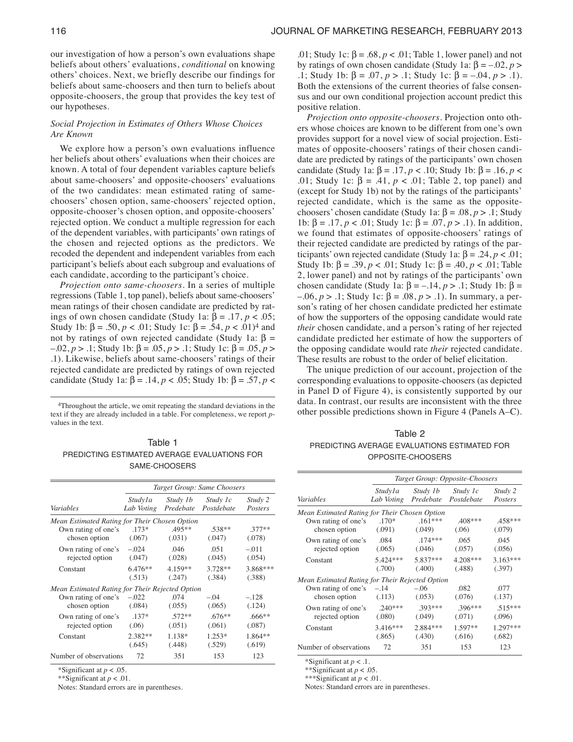our investigation of how a person's own evaluations shape beliefs about others' evaluations, *conditional* on knowing others' choices. Next, we briefly describe our findings for beliefs about same-choosers and then turn to beliefs about opposite-choosers, the group that provides the key test of our hypotheses.

#### *Social Projection in Estimates of Others Whose Choices Are Known*

We explore how a person's own evaluations influence her beliefs about others' evaluations when their choices are known. A total of four dependent variables capture beliefs about same-choosers' and opposite-choosers' evaluations of the two candidates: mean estimated rating of samechoosers' chosen option, same-choosers' rejected option, opposite-chooser's chosen option, and opposite-choosers' rejected option. We conduct a multiple regression for each of the dependent variables, with participants' own ratings of the chosen and rejected options as the predictors. We recoded the dependent and independent variables from each participant's beliefs about each subgroup and evaluations of each candidate, according to the participant's choice.

*Projection onto same-choosers*. In a series of multiple regressions (Table 1, top panel), beliefs about same-choosers' mean ratings of their chosen candidate are predicted by ratings of own chosen candidate (Study 1a:  $\beta = .17$ ,  $p < .05$ ; Study 1b:  $\beta = .50, p < .01$ ; Study 1c:  $\beta = .54, p < .01$ <sup>4</sup> and not by ratings of own rejected candidate (Study 1a:  $\beta$  =  $-0.02, p > 0.1$ ; Study 1b:  $\beta = 0.05, p > 0.1$ ; Study 1c:  $\beta = 0.05, p > 0.05$ .1). Likewise, beliefs about same-choosers' ratings of their rejected candidate are predicted by ratings of own rejected candidate (Study 1a:  $\beta$  = .14,  $p < .05$ ; Study 1b:  $\beta$  = .57,  $p <$ 

4Throughout the article, we omit repeating the standard deviations in the text if they are already included in a table. For completeness, we report *p*values in the text.

| Table 1                                      |
|----------------------------------------------|
| PREDICTING ESTIMATED AVERAGE EVALUATIONS FOR |
| SAME-CHOOSERS                                |

|                                                 |                |           | Target Group: Same Choosers |           |
|-------------------------------------------------|----------------|-----------|-----------------------------|-----------|
| Variables                                       | <i>Studyla</i> | Study 1b  | Study 1c                    | Study 2   |
|                                                 | Lab Voting     | Predebate | Postdebate                  | Posters   |
| Mean Estimated Rating for Their Chosen Option   |                |           |                             |           |
| Own rating of one's                             | $.173*$        | .495**    | $.538**$                    | $.377**$  |
| chosen option                                   | (.067)         | (.031)    | (.047)                      | (.078)    |
| Own rating of one's                             | $-.024$        | .046      | .051                        | $-.011$   |
| rejected option                                 | (.047)         | (.028)    | (.045)                      | (.054)    |
| Constant                                        | $6.476**$      | $4.159**$ | $3.728**$                   | 3.868***  |
|                                                 | (.513)         | (.247)    | (.384)                      | (.388)    |
| Mean Estimated Rating for Their Rejected Option |                |           |                             |           |
| Own rating of one's                             | $-.022$        | .074      | $-.04$                      | $-.128$   |
| chosen option                                   | (.084)         | (.055)    | (.065)                      | (.124)    |
| Own rating of one's                             | $.137*$        | $.572**$  | $.676**$                    | .666**    |
| rejected option                                 | (.06)          | (.051)    | (.061)                      | (.087)    |
| Constant                                        | $2.382**$      | $1.138*$  | $1.253*$                    | $1.864**$ |
|                                                 | (.645)         | (.448)    | (.529)                      | (.619)    |
| Number of observations                          | 72             | 351       | 153                         | 123       |

\*Significant at *p* < .05.

\*\*Significant at  $p < .01$ .

Notes: Standard errors are in parentheses.

.01; Study 1c:  $\beta = .68$ ,  $p < .01$ ; Table 1, lower panel) and not by ratings of own chosen candidate (Study 1a:  $\beta = -.02$ ,  $p >$ .1; Study 1b:  $\beta = .07, p > .1$ ; Study 1c:  $\beta = -.04, p > .1$ ). Both the extensions of the current theories of false consensus and our own conditional projection account predict this positive relation.

*Projection onto opposite-choosers*. Projection onto others whose choices are known to be different from one's own provides support for a novel view of social projection. Estimates of opposite-choosers' ratings of their chosen candidate are predicted by ratings of the participants' own chosen candidate (Study 1a:  $\beta = .17, p < .10$ ; Study 1b:  $\beta = .16, p <$ .01; Study 1c:  $\beta = .41$ ,  $p < .01$ ; Table 2, top panel) and (except for Study 1b) not by the ratings of the participants' rejected candidate, which is the same as the oppositechoosers' chosen candidate (Study 1a:  $\beta = .08, p > .1$ ; Study 1b:  $\beta = .17, p < .01$ ; Study 1c:  $\beta = .07, p > .1$ ). In addition, we found that estimates of opposite-choosers' ratings of their rejected candidate are predicted by ratings of the participants' own rejected candidate (Study 1a:  $\beta = .24$ ,  $p < .01$ ; Study 1b:  $\beta = .39, p < .01$ ; Study 1c:  $\beta = .40, p < .01$ ; Table 2, lower panel) and not by ratings of the participants' own chosen candidate (Study 1a:  $\beta = -0.14$ ,  $p > 0.1$ ; Study 1b:  $\beta =$  $-0.06, p > 0.1$ ; Study 1c:  $\beta = 0.08, p > 0.1$ . In summary, a person's rating of her chosen candidate predicted her estimate of how the supporters of the opposing candidate would rate *their* chosen candidate, and a person's rating of her rejected candidate predicted her estimate of how the supporters of the opposing candidate would rate *their* rejected candidate. These results are robust to the order of belief elicitation.

The unique prediction of our account, projection of the corresponding evaluations to opposite-choosers (as depicted in Panel D of Figure 4), is consistently supported by our data. In contrast, our results are inconsistent with the three other possible predictions shown in Figure 4 (Panels A–C).

### Table 2 PREDICTING AVERAGE EVALUATIONS ESTIMATED FOR OPPOSITE-CHOOSERS

|                                                 | Target Group: Opposite-Choosers |           |                                  |                    |  |  |
|-------------------------------------------------|---------------------------------|-----------|----------------------------------|--------------------|--|--|
| Variables                                       | <i>Studyla</i><br>Lab Voting    | Study 1b  | Study 1c<br>Predebate Postdebate | Study 2<br>Posters |  |  |
| Mean Estimated Rating for Their Chosen Option   |                                 |           |                                  |                    |  |  |
| Own rating of one's                             | $.170*$                         | $.161***$ | $.408***$                        | $.458***$          |  |  |
| chosen option                                   | (.091)                          | (.049)    | (.06)                            | (.079)             |  |  |
| Own rating of one's                             | .084                            | $.174***$ | .065                             | .045               |  |  |
| rejected option                                 | (.065)                          | (.046)    | (.057)                           | (.056)             |  |  |
| Constant                                        | 5.424***                        | 5.837***  | 4.208***                         | $3.163***$         |  |  |
|                                                 | (.700)                          | (.400)    | (.488)                           | (.397)             |  |  |
| Mean Estimated Rating for Their Rejected Option |                                 |           |                                  |                    |  |  |
| Own rating of one's                             | $-.14$                          | $-.06$    | .082                             | .077               |  |  |
| chosen option                                   | (.113)                          | (.053)    | (.076)                           | (.137)             |  |  |
| Own rating of one's                             | $.240***$                       | 393 ***   | $.396***$                        | $.515***$          |  |  |
| rejected option                                 | (.080)                          | (.049)    | (.071)                           | (.096)             |  |  |
| Constant                                        | $3.416***$                      | 2.884 *** | $1.597**$                        | 1.297***           |  |  |
|                                                 | (.865)                          | (.430)    | (.616)                           | (.682)             |  |  |
| Number of observations                          | 72                              | 351       | 153                              | 123                |  |  |

\*Significant at *p* < .1.

\*\*Significant at *p* < .05.

\*\*\*Significant at *p* < .01.

Notes: Standard errors are in parentheses.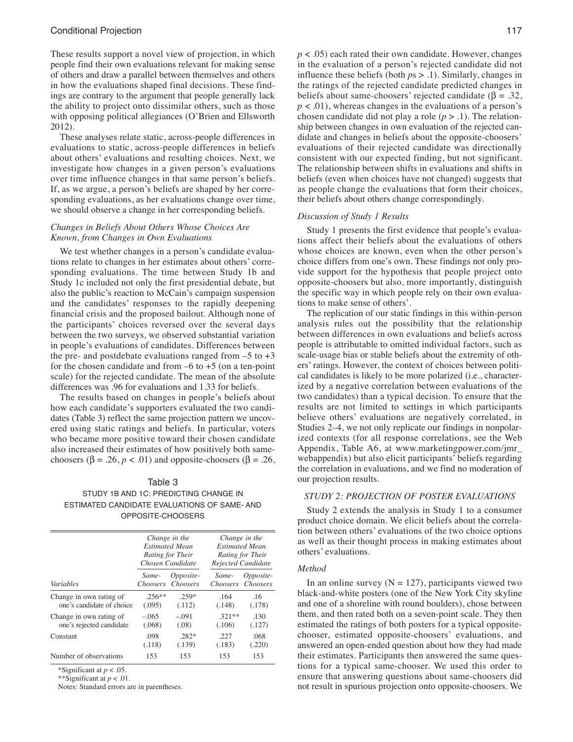These results support a novel view of projection, in which people find their own evaluations relevant for making sense of others and draw a parallel between themselves and others in how the evaluations shaped final decisions. These findings are contrary to the argument that people generally lack the ability to project onto dissimilar others, such as those with opposing political allegiances (O'Brien and Ellsworth 2012).

These analyses relate static, across-people differences in evaluations to static, across-people differences in beliefs about others' evaluations and resulting choices. Next, we investigate how changes in a given person's evaluations over time influence changes in that same person's beliefs. If, as we argue, a person's beliefs are shaped by her corresponding evaluations, as her evaluations change over time, we should observe a change in her corresponding beliefs.

#### *Changes in Beliefs About Others Whose Choices Are Known, from Changes in Own Evaluations*

We test whether changes in a person's candidate evaluations relate to changes in her estimates about others' corresponding evaluations. The time between Study 1b and Study 1c included not only the first presidential debate, but also the public's reaction to McCain's campaign suspension and the candidates' responses to the rapidly deepening financial crisis and the proposed bailout. Although none of the participants' choices reversed over the several days between the two surveys, we observed substantial variation in people's evaluations of candidates. Differences between the pre- and postdebate evaluations ranged from  $-5$  to  $+3$ for the chosen candidate and from  $-6$  to  $+5$  (on a ten-point scale) for the rejected candidate. The mean of the absolute differences was .96 for evaluations and 1.33 for beliefs.

The results based on changes in people's beliefs about how each candidate's supporters evaluated the two candidates (Table 3) reflect the same projection pattern we uncovered using static ratings and beliefs. In particular, voters who became more positive toward their chosen candidate also increased their estimates of how positively both samechoosers ( $\beta$  = .26, *p* < .01) and opposite-choosers ( $\beta$  = .26,

#### Table 3 STUDY 1B AND 1C: PREDICTING CHANGE IN ESTIMATED CANDIDATE EVALUATIONS OF SAME- AND OPPOSITE-CHOOSERS

|                           |          | Change in the<br><b>Estimated Mean</b><br>Rating for Their<br>Chosen Candidate | Change in the<br><b>Estimated Mean</b><br>Rating for Their<br>Rejected Candidate |                 |
|---------------------------|----------|--------------------------------------------------------------------------------|----------------------------------------------------------------------------------|-----------------|
| Variables                 | Same-    | Opposite-                                                                      | Same-                                                                            | Opposite-       |
|                           | Choosers | <b>Choosers</b>                                                                | Choosers                                                                         | <b>Choosers</b> |
| Change in own rating of   | $.256**$ | $.259*$                                                                        | .164                                                                             | .16             |
| one's candidate of choice | (.095)   | (.112)                                                                         | (.148)                                                                           | (.178)          |
| Change in own rating of   | $-.065$  | $-.091$                                                                        | $.321**$                                                                         | .130            |
| one's rejected candidate  | (.068)   | (.08)                                                                          | (.106)                                                                           | (.127)          |
| Constant                  | .098     | $.282*$                                                                        | .227                                                                             | .068            |
|                           | (.118)   | (.139)                                                                         | (.183)                                                                           | (.220)          |
| Number of observations    | 153      | 153                                                                            | 153                                                                              | 153             |
|                           |          |                                                                                |                                                                                  |                 |

\*Significant at  $p < .05$ .

\*\*Significant at  $p < .01$ .

Notes: Standard errors are in parentheses.

*p* < .05) each rated their own candidate. However, changes in the evaluation of a person's rejected candidate did not influence these beliefs (both *p*s > .1). Similarly, changes in the ratings of the rejected candidate predicted changes in beliefs about same-choosers' rejected candidate ( $\beta = .32$ ,  $p < .01$ ), whereas changes in the evaluations of a person's chosen candidate did not play a role  $(p > 0.1)$ . The relationship between changes in own evaluation of the rejected candidate and changes in beliefs about the opposite-choosers' evaluations of their rejected candidate was directionally consistent with our expected finding, but not significant. The relationship between shifts in evaluations and shifts in beliefs (even when choices have not changed) suggests that as people change the evaluations that form their choices, their beliefs about others change correspondingly.

#### *Discussion of Study 1 Results*

Study 1 presents the first evidence that people's evaluations affect their beliefs about the evaluations of others whose choices are known, even when the other person's choice differs from one's own. These findings not only provide support for the hypothesis that people project onto opposite-choosers but also, more importantly, distinguish the specific way in which people rely on their own evaluations to make sense of others'.

The replication of our static findings in this within-person analysis rules out the possibility that the relationship between differences in own evaluations and beliefs across people is attributable to omitted individual factors, such as scale-usage bias or stable beliefs about the extremity of others' ratings. However, the context of choices between political candidates is likely to be more polarized (i.e., characterized by a negative correlation between evaluations of the two candidates) than a typical decision. To ensure that the results are not limited to settings in which participants believe others' evaluations are negatively correlated, in Studies 2–4, we not only replicate our findings in nonpolarized contexts (for all response correlations, see the Web Appendix, Table A6, at www.marketingpower.com/jmr\_ webappendix) but also elicit participants' beliefs regarding the correlation in evaluations, and we find no moderation of our projection results.

#### *STUDY 2: PROJECTION OF POSTER EVALUATIONS*

Study 2 extends the analysis in Study 1 to a consumer product choice domain. We elicit beliefs about the correlation between others' evaluations of the two choice options as well as their thought process in making estimates about others' evaluations.

#### *Method*

In an online survey  $(N = 127)$ , participants viewed two black-and-white posters (one of the New York City skyline and one of a shoreline with round boulders), chose between them, and then rated both on a seven-point scale. They then estimated the ratings of both posters for a typical oppositechooser, estimated opposite-choosers' evaluations, and answered an open-ended question about how they had made their estimates. Participants then answered the same questions for a typical same-chooser. We used this order to ensure that answering questions about same-choosers did not result in spurious projection onto opposite-choosers. We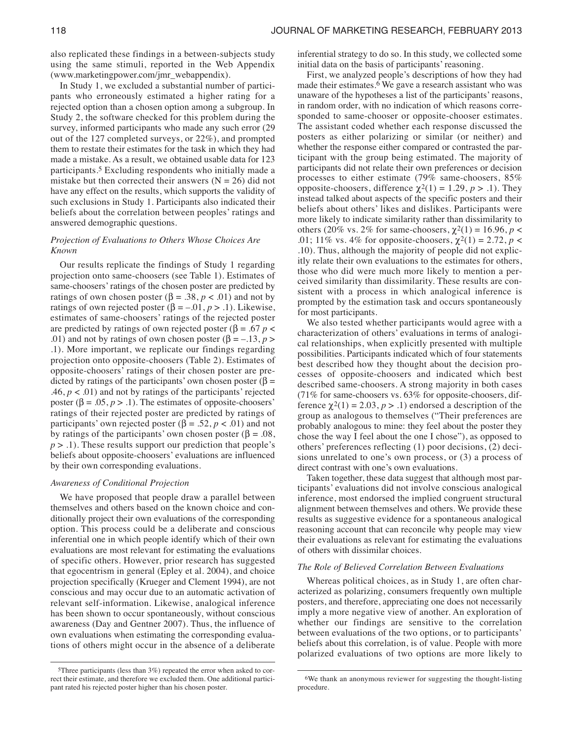also replicated these findings in a between-subjects study using the same stimuli, reported in the Web Appendix (www.marketingpower.com/jmr\_webappendix).

In Study 1, we excluded a substantial number of participants who erroneously estimated a higher rating for a rejected option than a chosen option among a subgroup. In Study 2, the software checked for this problem during the survey, informed participants who made any such error (29 out of the 127 completed surveys, or 22%), and prompted them to restate their estimates for the task in which they had made a mistake. As a result, we obtained usable data for 123 participants.5 Excluding respondents who initially made a mistake but then corrected their answers  $(N = 26)$  did not have any effect on the results, which supports the validity of such exclusions in Study 1. Participants also indicated their beliefs about the correlation between peoples' ratings and answered demographic questions.

#### *Projection of Evaluations to Others Whose Choices Are Known*

Our results replicate the findings of Study 1 regarding projection onto same-choosers (see Table 1). Estimates of same-choosers' ratings of the chosen poster are predicted by ratings of own chosen poster ( $\beta = .38, p < .01$ ) and not by ratings of own rejected poster ( $\beta = -0.01$ ,  $p > 0.1$ ). Likewise, estimates of same-choosers' ratings of the rejected poster are predicted by ratings of own rejected poster ( $\beta$  = .67 *p* < .01) and not by ratings of own chosen poster  $(\beta = -13, p > 0)$ .1). More important, we replicate our findings regarding projection onto opposite-choosers (Table 2). Estimates of opposite-choosers' ratings of their chosen poster are predicted by ratings of the participants' own chosen poster ( $\beta$  = .46,  $p < .01$ ) and not by ratings of the participants' rejected poster  $(\beta = .05, p > .1)$ . The estimates of opposite-choosers' ratings of their rejected poster are predicted by ratings of participants' own rejected poster ( $\beta = .52$ ,  $p < .01$ ) and not by ratings of the participants' own chosen poster ( $\beta = .08$ , *p* > .1). These results support our prediction that people's beliefs about opposite-choosers' evaluations are influenced by their own corresponding evaluations.

#### *Awareness of Conditional Projection*

We have proposed that people draw a parallel between themselves and others based on the known choice and conditionally project their own evaluations of the corresponding option. This process could be a deliberate and conscious inferential one in which people identify which of their own evaluations are most relevant for estimating the evaluations of specific others. However, prior research has suggested that egocentrism in general (Epley et al. 2004), and choice projection specifically (Krueger and Clement 1994), are not conscious and may occur due to an automatic activation of relevant self-information. Likewise, analogical inference has been shown to occur spontaneously, without conscious awareness (Day and Gentner 2007). Thus, the influence of own evaluations when estimating the corresponding evaluations of others might occur in the absence of a deliberate

inferential strategy to do so. In this study, we collected some initial data on the basis of participants' reasoning.

First, we analyzed people's descriptions of how they had made their estimates.6 We gave a research assistant who was unaware of the hypotheses a list of the participants' reasons, in random order, with no indication of which reasons corresponded to same-chooser or opposite-chooser estimates. The assistant coded whether each response discussed the posters as either polarizing or similar (or neither) and whether the response either compared or contrasted the participant with the group being estimated. The majority of participants did not relate their own preferences or decision processes to either estimate (79% same-choosers, 85% opposite-choosers, difference  $\chi^2(1) = 1.29$ ,  $p > .1$ ). They instead talked about aspects of the specific posters and their beliefs about others' likes and dislikes. Participants were more likely to indicate similarity rather than dissimilarity to others (20% vs. 2% for same-choosers,  $\chi^2(1) = 16.96$ , *p* < .01; 11% vs. 4% for opposite-choosers,  $\chi^2(1) = 2.72$ ,  $p <$ .10). Thus, although the majority of people did not explicitly relate their own evaluations to the estimates for others, those who did were much more likely to mention a perceived similarity than dissimilarity. These results are consistent with a process in which analogical inference is prompted by the estimation task and occurs spontaneously for most participants.

We also tested whether participants would agree with a characterization of others' evaluations in terms of analogical relationships, when explicitly presented with multiple possibilities. Participants indicated which of four statements best described how they thought about the decision processes of opposite-choosers and indicated which best described same-choosers. A strong majority in both cases (71% for same-choosers vs. 63% for opposite-choosers, difference  $\chi^2(1) = 2.03$ ,  $p > .1$ ) endorsed a description of the group as analogous to themselves ("Their preferences are probably analogous to mine: they feel about the poster they chose the way I feel about the one I chose"), as opposed to others' preferences reflecting (1) poor decisions, (2) decisions unrelated to one's own process, or (3) a process of direct contrast with one's own evaluations.

Taken together, these data suggest that although most participants' evaluations did not involve conscious analogical inference, most endorsed the implied congruent structural alignment between themselves and others. We provide these results as suggestive evidence for a spontaneous analogical reasoning account that can reconcile why people may view their evaluations as relevant for estimating the evaluations of others with dissimilar choices.

#### *The Role of Believed Correlation Between Evaluations*

Whereas political choices, as in Study 1, are often characterized as polarizing, consumers frequently own multiple posters, and therefore, appreciating one does not necessarily imply a more negative view of another. An exploration of whether our findings are sensitive to the correlation between evaluations of the two options, or to participants' beliefs about this correlation, is of value. People with more polarized evaluations of two options are more likely to

<sup>5</sup>Three participants (less than 3%) repeated the error when asked to correct their estimate, and therefore we excluded them. One additional participant rated his rejected poster higher than his chosen poster.

<sup>6</sup>We thank an anonymous reviewer for suggesting the thought-listing procedure.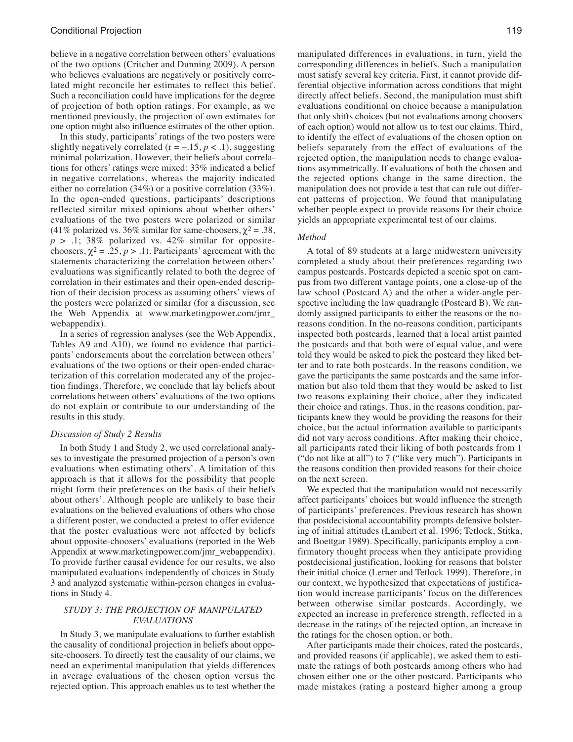believe in a negative correlation between others' evaluations of the two options (Critcher and Dunning 2009). A person who believes evaluations are negatively or positively correlated might reconcile her estimates to reflect this belief. Such a reconciliation could have implications for the degree of projection of both option ratings. For example, as we mentioned previously, the projection of own estimates for one option might also influence estimates of the other option.

In this study, participants' ratings of the two posters were slightly negatively correlated  $(r = -.15, p < .1)$ , suggesting minimal polarization. However, their beliefs about correlations for others' ratings were mixed: 33% indicated a belief in negative correlations, whereas the majority indicated either no correlation (34%) or a positive correlation (33%). In the open-ended questions, participants' descriptions reflected similar mixed opinions about whether others' evaluations of the two posters were polarized or similar (41% polarized vs. 36% similar for same-choosers,  $\chi^2 = .38$ ,  $p > 0.1$ ; 38% polarized vs. 42% similar for oppositechoosers,  $\chi^2 = .25$ ,  $p > .1$ ). Participants' agreement with the statements characterizing the correlation between others' evaluations was significantly related to both the degree of correlation in their estimates and their open-ended description of their decision process as assuming others' views of the posters were polarized or similar (for a discussion, see the Web Appendix at www.marketingpower.com/jmr\_ webappendix).

In a series of regression analyses (see the Web Appendix, Tables A9 and A10), we found no evidence that participants' endorsements about the correlation between others' evaluations of the two options or their open-ended characterization of this correlation moderated any of the projection findings. Therefore, we conclude that lay beliefs about correlations between others' evaluations of the two options do not explain or contribute to our understanding of the results in this study.

#### *Discussion of Study 2 Results*

In both Study 1 and Study 2, we used correlational analyses to investigate the presumed projection of a person's own evaluations when estimating others'. A limitation of this approach is that it allows for the possibility that people might form their preferences on the basis of their beliefs about others'. Although people are unlikely to base their evaluations on the believed evaluations of others who chose a different poster, we conducted a pretest to offer evidence that the poster evaluations were not affected by beliefs about opposite-choosers' evaluations (reported in the Web Appendix at www.marketingpower.com/jmr\_webappendix). To provide further causal evidence for our results, we also manipulated evaluations independently of choices in Study 3 and analyzed systematic within-person changes in evaluations in Study 4.

#### *STUDY 3: THE PROJECTION OF MANIPULATED EVALUATIONS*

In Study 3, we manipulate evaluations to further establish the causality of conditional projection in beliefs about opposite-choosers. To directly test the causality of our claims, we need an experimental manipulation that yields differences in average evaluations of the chosen option versus the rejected option. This approach enables us to test whether the

manipulated differences in evaluations, in turn, yield the corresponding differences in beliefs. Such a manipulation must satisfy several key criteria. First, it cannot provide differential objective information across conditions that might directly affect beliefs. Second, the manipulation must shift evaluations conditional on choice because a manipulation that only shifts choices (but not evaluations among choosers of each option) would not allow us to test our claims. Third, to identify the effect of evaluations of the chosen option on beliefs separately from the effect of evaluations of the rejected option, the manipulation needs to change evaluations asymmetrically. If evaluations of both the chosen and the rejected options change in the same direction, the manipulation does not provide a test that can rule out different patterns of projection. We found that manipulating whether people expect to provide reasons for their choice yields an appropriate experimental test of our claims.

#### *Method*

A total of 89 students at a large midwestern university completed a study about their preferences regarding two campus postcards. Postcards depicted a scenic spot on campus from two different vantage points, one a close-up of the law school (Postcard A) and the other a wider-angle perspective including the law quadrangle (Postcard B). We randomly assigned participants to either the reasons or the noreasons condition. In the no-reasons condition, participants inspected both postcards, learned that a local artist painted the postcards and that both were of equal value, and were told they would be asked to pick the postcard they liked better and to rate both postcards. In the reasons condition, we gave the participants the same postcards and the same information but also told them that they would be asked to list two reasons explaining their choice, after they indicated their choice and ratings. Thus, in the reasons condition, participants knew they would be providing the reasons for their choice, but the actual information available to participants did not vary across conditions. After making their choice, all participants rated their liking of both postcards from 1 ("do not like at all") to 7 ("like very much"). Participants in the reasons condition then provided reasons for their choice on the next screen.

We expected that the manipulation would not necessarily affect participants' choices but would influence the strength of participants' preferences. Previous research has shown that postdecisional accountability prompts defensive bolstering of initial attitudes (Lambert et al. 1996; Tetlock, Stitka, and Boettgar 1989). Specifically, participants employ a confirmatory thought process when they anticipate providing postdecisional justification, looking for reasons that bolster their initial choice (Lerner and Tetlock 1999). Therefore, in our context, we hypothesized that expectations of justification would increase participants' focus on the differences between otherwise similar postcards. Accordingly, we expected an increase in preference strength, reflected in a decrease in the ratings of the rejected option, an increase in the ratings for the chosen option, or both.

After participants made their choices, rated the postcards, and provided reasons (if applicable), we asked them to estimate the ratings of both postcards among others who had chosen either one or the other postcard. Participants who made mistakes (rating a postcard higher among a group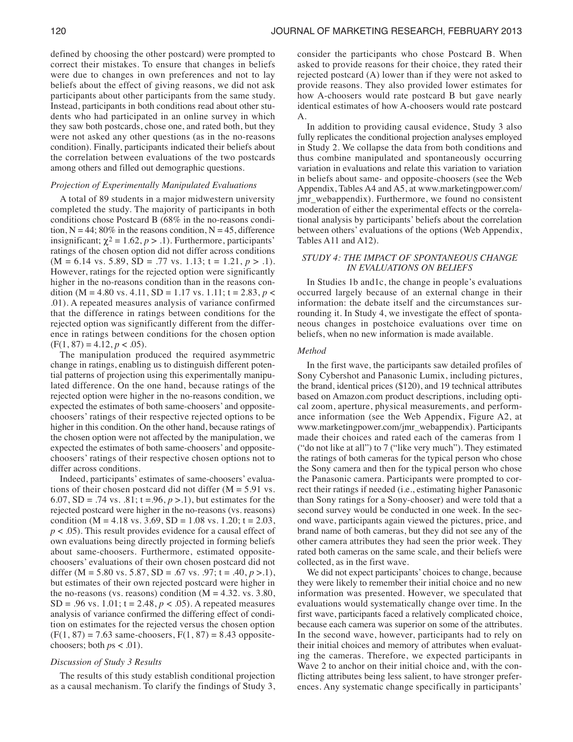defined by choosing the other postcard) were prompted to correct their mistakes. To ensure that changes in beliefs were due to changes in own preferences and not to lay beliefs about the effect of giving reasons, we did not ask participants about other participants from the same study. Instead, participants in both conditions read about other students who had participated in an online survey in which they saw both postcards, chose one, and rated both, but they were not asked any other questions (as in the no-reasons condition). Finally, participants indicated their beliefs about the correlation between evaluations of the two postcards among others and filled out demographic questions.

#### *Projection of Experimentally Manipulated Evaluations*

A total of 89 students in a major midwestern university completed the study. The majority of participants in both conditions chose Postcard B (68% in the no-reasons condition,  $N = 44$ ; 80% in the reasons condition,  $N = 45$ , difference insignificant;  $\chi^2 = 1.62$ ,  $p > 0.1$ ). Furthermore, participants' ratings of the chosen option did not differ across conditions  $(M = 6.14 \text{ vs. } 5.89, SD = .77 \text{ vs. } 1.13; t = 1.21, p > .1).$ However, ratings for the rejected option were significantly higher in the no-reasons condition than in the reasons condition (M = 4.80 vs. 4.11, SD = 1.17 vs. 1.11;  $t = 2.83$ ,  $p <$ .01). A repeated measures analysis of variance confirmed that the difference in ratings between conditions for the rejected option was significantly different from the difference in ratings between conditions for the chosen option  $(F(1, 87) = 4.12, p < .05).$ 

The manipulation produced the required asymmetric change in ratings, enabling us to distinguish different potential patterns of projection using this experimentally manipulated difference. On the one hand, because ratings of the rejected option were higher in the no-reasons condition, we expected the estimates of both same-choosers' and oppositechoosers' ratings of their respective rejected options to be higher in this condition. On the other hand, because ratings of the chosen option were not affected by the manipulation, we expected the estimates of both same-choosers' and oppositechoosers' ratings of their respective chosen options not to differ across conditions.

Indeed, participants' estimates of same-choosers' evaluations of their chosen postcard did not differ  $(M = 5.91$  vs. 6.07, SD = .74 vs. .81; t =.96, *p* >.1), but estimates for the rejected postcard were higher in the no-reasons (vs. reasons) condition (M = 4.18 vs. 3.69, SD = 1.08 vs. 1.20; t = 2.03, *p* < .05). This result provides evidence for a causal effect of own evaluations being directly projected in forming beliefs about same-choosers. Furthermore, estimated oppositechoosers' evaluations of their own chosen postcard did not differ (M = 5.80 vs. 5.87, SD = .67 vs. .97; t = .40,  $p > 1$ ), but estimates of their own rejected postcard were higher in the no-reasons (vs. reasons) condition  $(M = 4.32$ . vs. 3.80,  $SD = .96$  vs.  $1.01$ ;  $t = 2.48$ ,  $p < .05$ ). A repeated measures analysis of variance confirmed the differing effect of condition on estimates for the rejected versus the chosen option  $(F(1, 87) = 7.63$  same-choosers,  $F(1, 87) = 8.43$  oppositechoosers; both  $ps < .01$ ).

#### *Discussion of Study 3 Results*

The results of this study establish conditional projection as a causal mechanism. To clarify the findings of Study 3, consider the participants who chose Postcard B. When asked to provide reasons for their choice, they rated their rejected postcard (A) lower than if they were not asked to provide reasons. They also provided lower estimates for how A-choosers would rate postcard B but gave nearly identical estimates of how A-choosers would rate postcard  $\mathsf{A}$ .

In addition to providing causal evidence, Study 3 also fully replicates the conditional projection analyses employed in Study 2. We collapse the data from both conditions and thus combine manipulated and spontaneously occurring variation in evaluations and relate this variation to variation in beliefs about same- and opposite-choosers (see the Web Appendix, Tables A4 and A5, at www.marketingpower.com/ jmr\_webappendix). Furthermore, we found no consistent moderation of either the experimental effects or the correlational analysis by participants' beliefs about the correlation between others' evaluations of the options (Web Appendix, Tables A11 and A12).

#### *STUDY 4: THE IMPACT OF SPONTANEOUS CHANGE IN EVALUATIONS ON BELIEFS*

In Studies 1b and1c, the change in people's evaluations occurred largely because of an external change in their information: the debate itself and the circumstances surrounding it. In Study 4, we investigate the effect of spontaneous changes in postchoice evaluations over time on beliefs, when no new information is made available.

#### *Method*

In the first wave, the participants saw detailed profiles of Sony Cybershot and Panasonic Lumix, including pictures, the brand, identical prices (\$120), and 19 technical attributes based on Amazon.com product descriptions, including optical zoom, aperture, physical measurements, and performance information (see the Web Appendix, Figure A2, at www. marketingpower.com/jmr\_webappendix). Participants made their choices and rated each of the cameras from 1 ("do not like at all") to 7 ("like very much"). They estimated the ratings of both cameras for the typical person who chose the Sony camera and then for the typical person who chose the Panasonic camera. Participants were prompted to correct their ratings if needed (i.e., estimating higher Panasonic than Sony ratings for a Sony-chooser) and were told that a second survey would be conducted in one week. In the second wave, participants again viewed the pictures, price, and brand name of both cameras, but they did not see any of the other camera attributes they had seen the prior week. They rated both cameras on the same scale, and their beliefs were collected, as in the first wave.

We did not expect participants' choices to change, because they were likely to remember their initial choice and no new information was presented. However, we speculated that evaluations would systematically change over time. In the first wave, participants faced a relatively complicated choice, because each camera was superior on some of the attributes. In the second wave, however, participants had to rely on their initial choices and memory of attributes when evaluating the cameras. Therefore, we expected participants in Wave 2 to anchor on their initial choice and, with the conflicting attributes being less salient, to have stronger preferences. Any systematic change specifically in participants'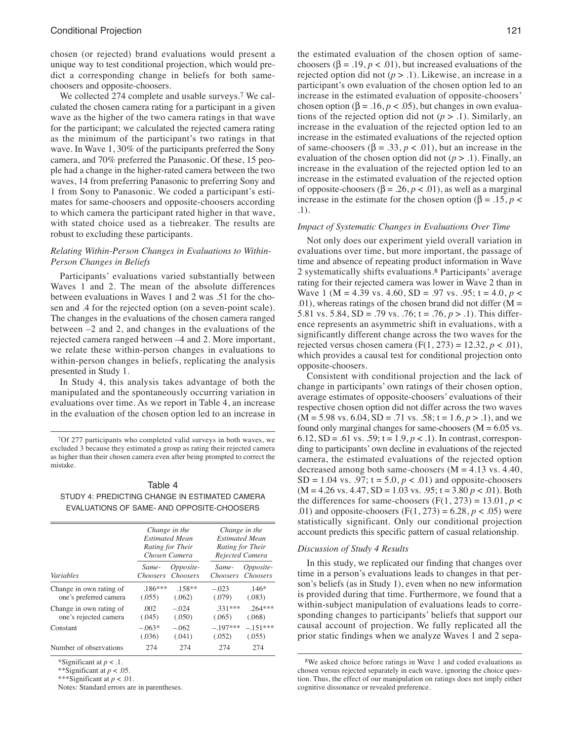chosen (or rejected) brand evaluations would present a unique way to test conditional projection, which would predict a corresponding change in beliefs for both samechoosers and opposite-choosers.

We collected 274 complete and usable surveys.<sup>7</sup> We calculated the chosen camera rating for a participant in a given wave as the higher of the two camera ratings in that wave for the participant; we calculated the rejected camera rating as the minimum of the participant's two ratings in that wave. In Wave 1, 30% of the participants preferred the Sony camera, and 70% preferred the Panasonic. Of these, 15 people had a change in the higher-rated camera between the two waves, 14 from preferring Panasonic to preferring Sony and 1 from Sony to Panasonic. We coded a participant's estimates for same-choosers and opposite-choosers according to which camera the participant rated higher in that wave, with stated choice used as a tiebreaker. The results are robust to excluding these participants.

#### *Relating Within-Person Changes in Evaluations to Within-Person Changes in Beliefs*

Participants' evaluations varied substantially between Waves 1 and 2. The mean of the absolute differences between evaluations in Waves 1 and 2 was .51 for the chosen and .4 for the rejected option (on a seven-point scale). The changes in the evaluations of the chosen camera ranged between –2 and 2, and changes in the evaluations of the rejected camera ranged between –4 and 2. More important, we relate these within-person changes in evaluations to within-person changes in beliefs, replicating the analysis presented in Study 1.

In Study 4, this analysis takes advantage of both the manipulated and the spontaneously occurring variation in evaluations over time. As we report in Table 4, an increase in the evaluation of the chosen option led to an increase in

7Of 277 participants who completed valid surveys in both waves, we excluded 3 because they estimated a group as rating their rejected camera as higher than their chosen camera even after being prompted to correct the mistake.

Table 4 STUDY 4: PREDICTING CHANGE IN ESTIMATED CAMERA EVALUATIONS OF SAME- AND OPPOSITE-CHOOSERS

|                         | Change in the<br><b>Estimated Mean</b><br>Rating for Their<br>Chosen Camera |                 | Change in the<br><b>Estimated Mean</b><br>Rating for Their<br>Rejected Camera |                 |  |
|-------------------------|-----------------------------------------------------------------------------|-----------------|-------------------------------------------------------------------------------|-----------------|--|
| Variables               | Same-                                                                       | Opposite-       | Same-                                                                         | Opposite-       |  |
|                         | <i>Choosers</i>                                                             | <b>Choosers</b> | Choosers                                                                      | <b>Choosers</b> |  |
| Change in own rating of | $.186***$                                                                   | $.158**$        | $-.023$                                                                       | $.146*$         |  |
| one's preferred camera  | (.055)                                                                      | (.062)          | (.079)                                                                        | (.083)          |  |
| Change in own rating of | .002                                                                        | $-.024$         | $.331***$                                                                     | $.264***$       |  |
| one's rejected camera   | (.045)                                                                      | (.050)          | (.065)                                                                        | (.068)          |  |
| Constant                | $-.063*$                                                                    | $-.062$         | $-.197***$                                                                    | $-.151***$      |  |
|                         | (.036)                                                                      | (.041)          | (.052)                                                                        | (.055)          |  |
| Number of observations  | 274                                                                         | 274             | 274                                                                           | 274             |  |
|                         |                                                                             |                 |                                                                               |                 |  |

\*Significant at *p* < .1.

\*\*Significant at *p* < .05.

\*\*\*Significant at *p* < .01.

Notes: Standard errors are in parentheses.

the estimated evaluation of the chosen option of samechoosers ( $\beta = .19$ ,  $p < .01$ ), but increased evaluations of the rejected option did not  $(p > 0.1)$ . Likewise, an increase in a participant's own evaluation of the chosen option led to an increase in the estimated evaluation of opposite-choosers' chosen option ( $\beta$  = .16,  $p < .05$ ), but changes in own evaluations of the rejected option did not  $(p > 0.1)$ . Similarly, an increase in the evaluation of the rejected option led to an increase in the estimated evaluations of the rejected option of same-choosers  $(\beta = .33, p < .01)$ , but an increase in the evaluation of the chosen option did not  $(p > 0.1)$ . Finally, an increase in the evaluation of the rejected option led to an increase in the estimated evaluation of the rejected option of opposite-choosers  $(\beta = .26, p < .01)$ , as well as a marginal increase in the estimate for the chosen option ( $\beta = .15$ ,  $p <$ .1).

#### *Impact of Systematic Changes in Evaluations Over Time*

Not only does our experiment yield overall variation in evaluations over time, but more important, the passage of time and absence of repeating product information in Wave 2 systematically shifts evaluations.8 Participants' average rating for their rejected camera was lower in Wave 2 than in Wave 1 (M = 4.39 vs. 4.60, SD = .97 vs. .95; t = 4.0, *p* < .01), whereas ratings of the chosen brand did not differ  $(M =$ 5.81 vs. 5.84, SD = .79 vs. .76; t = .76, *p* > .1). This difference represents an asymmetric shift in evaluations, with a significantly different change across the two waves for the rejected versus chosen camera  $(F(1, 273) = 12.32, p < .01)$ , which provides a causal test for conditional projection onto opposite-choosers.

Consistent with conditional projection and the lack of change in participants' own ratings of their chosen option, average estimates of opposite-choosers' evaluations of their respective chosen option did not differ across the two waves  $(M = 5.98$  vs.  $6.04$ ,  $SD = .71$  vs.  $.58$ ;  $t = 1.6$ ,  $p > .1$ ), and we found only marginal changes for same-choosers  $(M = 6.05$  vs. 6.12,  $SD = .61$  vs.  $.59$ ;  $t = 1.9, p < .1$ ). In contrast, corresponding to participants' own decline in evaluations of the rejected camera, the estimated evaluations of the rejected option decreased among both same-choosers  $(M = 4.13 \text{ vs. } 4.40)$ ,  $SD = 1.04$  vs.  $.97$ ;  $t = 5.0$ ,  $p < .01$ ) and opposite-choosers  $(M = 4.26 \text{ vs. } 4.47, SD = 1.03 \text{ vs. } .95; t = 3.80 p < .01)$ . Both the differences for same-choosers  $(F(1, 273) = 13.01, p \le$ .01) and opposite-choosers  $(F(1, 273) = 6.28, p < .05)$  were statistically significant. Only our conditional projection account predicts this specific pattern of casual relationship.

#### *Discussion of Study 4 Results*

In this study, we replicated our finding that changes over time in a person's evaluations leads to changes in that person's beliefs (as in Study 1), even when no new information is provided during that time. Furthermore, we found that a within-subject manipulation of evaluations leads to corresponding changes to participants' beliefs that support our causal account of projection. We fully replicated all the prior static findings when we analyze Waves 1 and 2 sepa-

<sup>8</sup>We asked choice before ratings in Wave 1 and coded evaluations as chosen versus rejected separately in each wave, ignoring the choice question. Thus, the effect of our manipulation on ratings does not imply either cognitive dissonance or revealed preference.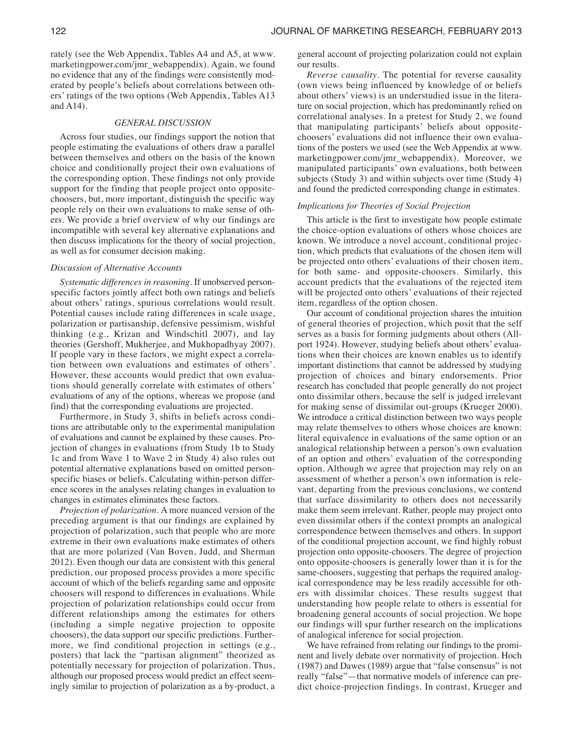rately (see the Web Appendix, Tables A4 and A5, at www. marketingpower.com/jmr\_webappendix). Again, we found no evidence that any of the findings were consistently moderated by people's beliefs about correlations between others' ratings of the two options (Web Appendix, Tables A13 and A14).

#### *GENERAL DISCUSSION*

Across four studies, our findings support the notion that people estimating the evaluations of others draw a parallel between themselves and others on the basis of the known choice and conditionally project their own evaluations of the corresponding option. These findings not only provide support for the finding that people project onto oppositechoosers, but, more important, distinguish the specific way people rely on their own evaluations to make sense of others. We provide a brief overview of why our findings are incompatible with several key alternative explanations and then discuss implications for the theory of social projection, as well as for consumer decision making.

#### *Discussion of Alternative Accounts*

*Systematic differences in reasoning*. If unobserved personspecific factors jointly affect both own ratings and beliefs about others' ratings, spurious correlations would result. Potential causes include rating differences in scale usage, polarization or partisanship, defensive pessimism, wishful thinking (e.g., Krizan and Windschitl 2007), and lay theories (Gershoff, Mukherjee, and Mukhopadhyay 2007). If people vary in these factors, we might expect a correlation between own evaluations and estimates of others'. However, these accounts would predict that own evaluations should generally correlate with estimates of others' evaluations of any of the options, whereas we propose (and find) that the corresponding evaluations are projected.

Furthermore, in Study 3, shifts in beliefs across conditions are attributable only to the experimental manipulation of evaluations and cannot be explained by these causes. Projection of changes in evaluations (from Study 1b to Study 1c and from Wave 1 to Wave 2 in Study 4) also rules out potential alternative explanations based on omitted personspecific biases or beliefs. Calculating within-person difference scores in the analyses relating changes in evaluation to changes in estimates eliminates these factors.

*Projection of polarization*. A more nuanced version of the preceding argument is that our findings are explained by projection of polarization, such that people who are more extreme in their own evaluations make estimates of others that are more polarized (Van Boven, Judd, and Sherman 2012). Even though our data are consistent with this general prediction, our proposed process provides a more specific account of which of the beliefs regarding same and opposite choosers will respond to differences in evaluations. While projection of polarization relationships could occur from different relationships among the estimates for others (including a simple negative projection to opposite choosers), the data support our specific predictions. Furthermore, we find conditional projection in settings (e.g., posters) that lack the "partisan alignment" theorized as potentially necessary for projection of polarization. Thus, although our proposed process would predict an effect seemingly similar to projection of polarization as a by-product, a

general account of projecting polarization could not explain our results.

*Reverse causality*. The potential for reverse causality (own views being influenced by knowledge of or beliefs about others' views) is an understudied issue in the literature on social projection, which has predominantly relied on correlational analyses. In a pretest for Study 2, we found that manipulating participants' beliefs about oppositechoosers' evaluations did not influence their own evaluations of the posters we used (see the Web Appendix at www. marketingpower.com/jmr\_webappendix). Moreover, we manipulated participants' own evaluations, both between subjects (Study 3) and within subjects over time (Study 4) and found the predicted corresponding change in estimates.

#### *Implications for Theories of Social Projection*

This article is the first to investigate how people estimate the choice-option evaluations of others whose choices are known. We introduce a novel account, conditional projection, which predicts that evaluations of the chosen item will be projected onto others' evaluations of their chosen item, for both same- and opposite-choosers. Similarly, this account predicts that the evaluations of the rejected item will be projected onto others' evaluations of their rejected item, regardless of the option chosen.

Our account of conditional projection shares the intuition of general theories of projection, which posit that the self serves as a basis for forming judgments about others (Allport 1924). However, studying beliefs about others' evaluations when their choices are known enables us to identify important distinctions that cannot be addressed by studying projection of choices and binary endorsements. Prior research has concluded that people generally do not project onto dissimilar others, because the self is judged irrelevant for making sense of dissimilar out-groups (Krueger 2000). We introduce a critical distinction between two ways people may relate themselves to others whose choices are known: literal equivalence in evaluations of the same option or an analogical relationship between a person's own evaluation of an option and others' evaluation of the corresponding option. Although we agree that projection may rely on an assessment of whether a person's own information is relevant, departing from the previous conclusions, we contend that surface dissimilarity to others does not necessarily make them seem irrelevant. Rather, people may project onto even dissimilar others if the context prompts an analogical correspondence between themselves and others. In support of the conditional projection account, we find highly robust projection onto opposite-choosers. The degree of projection onto opposite-choosers is generally lower than it is for the same-choosers, suggesting that perhaps the required analogical correspondence may be less readily accessible for others with dissimilar choices. These results suggest that understanding how people relate to others is essential for broadening general accounts of social projection. We hope our findings will spur further research on the implications of analogical inference for social projection.

We have refrained from relating our findings to the prominent and lively debate over normativity of projection. Hoch (1987) and Dawes (1989) argue that "false consensus" is not really "false"—that normative models of inference can predict choice-projection findings. In contrast, Krueger and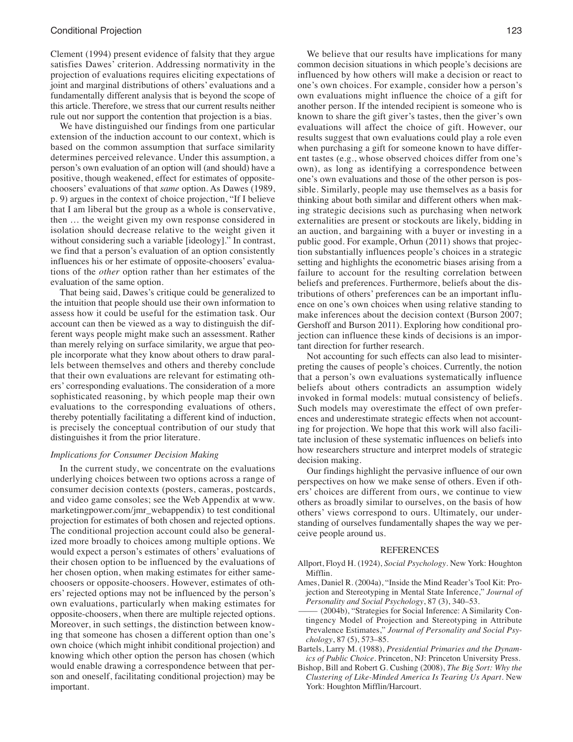Clement (1994) present evidence of falsity that they argue satisfies Dawes' criterion. Addressing normativity in the projection of evaluations requires eliciting expectations of joint and marginal distributions of others' evaluations and a fundamentally different analysis that is beyond the scope of this article. Therefore, we stress that our current results neither rule out nor support the contention that projection is a bias.

We have distinguished our findings from one particular extension of the induction account to our context, which is based on the common assumption that surface similarity determines perceived relevance. Under this assumption, a person's own evaluation of an option will (and should) have a positive, though weakened, effect for estimates of oppositechoosers' evaluations of that *same* option. As Dawes (1989, p. 9) argues in the context of choice projection, "If I believe that I am liberal but the group as a whole is conservative, then … the weight given my own response considered in isolation should decrease relative to the weight given it without considering such a variable [ideology]." In contrast, we find that a person's evaluation of an option consistently influences his or her estimate of opposite-choosers' evaluations of the *other* option rather than her estimates of the evaluation of the same option.

That being said, Dawes's critique could be generalized to the intuition that people should use their own information to assess how it could be useful for the estimation task. Our account can then be viewed as a way to distinguish the different ways people might make such an assessment. Rather than merely relying on surface similarity, we argue that people incorporate what they know about others to draw parallels between themselves and others and thereby conclude that their own evaluations are relevant for estimating others' corresponding evaluations. The consideration of a more sophisticated reasoning, by which people map their own evaluations to the corresponding evaluations of others, thereby potentially facilitating a different kind of induction, is precisely the conceptual contribution of our study that distinguishes it from the prior literature.

#### *Implications for Consumer Decision Making*

In the current study, we concentrate on the evaluations underlying choices between two options across a range of consumer decision contexts (posters, cameras, postcards, and video game consoles; see the Web Appendix at www. marketingpower.com/jmr\_webappendix) to test conditional projection for estimates of both chosen and rejected options. The conditional projection account could also be generalized more broadly to choices among multiple options. We would expect a person's estimates of others' evaluations of their chosen option to be influenced by the evaluations of her chosen option, when making estimates for either samechoosers or opposite-choosers. However, estimates of others' rejected options may not be influenced by the person's own evaluations, particularly when making estimates for opposite-choosers, when there are multiple rejected options. Moreover, in such settings, the distinction between knowing that someone has chosen a different option than one's own choice (which might inhibit conditional projection) and knowing which other option the person has chosen (which would enable drawing a correspondence between that person and oneself, facilitating conditional projection) may be important.

We believe that our results have implications for many common decision situations in which people's decisions are influenced by how others will make a decision or react to one's own choices. For example, consider how a person's own evaluations might influence the choice of a gift for another person. If the intended recipient is someone who is known to share the gift giver's tastes, then the giver's own evaluations will affect the choice of gift. However, our results suggest that own evaluations could play a role even when purchasing a gift for someone known to have different tastes (e.g., whose observed choices differ from one's own), as long as identifying a correspondence between one's own evaluations and those of the other person is possible. Similarly, people may use themselves as a basis for thinking about both similar and different others when making strategic decisions such as purchasing when network externalities are present or stockouts are likely, bidding in an auction, and bargaining with a buyer or investing in a public good. For example, Orhun (2011) shows that projection substantially influences people's choices in a strategic setting and highlights the econometric biases arising from a failure to account for the resulting correlation between beliefs and preferences. Furthermore, beliefs about the distributions of others' preferences can be an important influence on one's own choices when using relative standing to make inferences about the decision context (Burson 2007; Gershoff and Burson 2011). Exploring how conditional projection can influence these kinds of decisions is an important direction for further research.

Not accounting for such effects can also lead to misinterpreting the causes of people's choices. Currently, the notion that a person's own evaluations systematically influence beliefs about others contradicts an assumption widely invoked in formal models: mutual consistency of beliefs. Such models may overestimate the effect of own preferences and underestimate strategic effects when not accounting for projection. We hope that this work will also facilitate inclusion of these systematic influences on beliefs into how researchers structure and interpret models of strategic decision making.

Our findings highlight the pervasive influence of our own perspectives on how we make sense of others. Even if others' choices are different from ours, we continue to view others as broadly similar to ourselves, on the basis of how others' views correspond to ours. Ultimately, our understanding of ourselves fundamentally shapes the way we perceive people around us.

#### REFERENCES

- Allport, Floyd H. (1924), *Social Psychology*. New York: Houghton Mifflin.
- Ames, Daniel R. (2004a), "Inside the Mind Reader's Tool Kit: Projection and Stereotyping in Mental State Inference," *Journal of Personality and Social Psychology*, 87 (3), 340–53.
- (2004b), "Strategies for Social Inference: A Similarity Contingency Model of Projection and Stereotyping in Attribute Prevalence Estimates," *Journal of Personality and Social Psychology*, 87 (5), 573–85.
- Bartels, Larry M. (1988), *Presidential Primaries and the Dynamics of Public Choice*. Princeton, NJ: Princeton University Press.
- Bishop, Bill and Robert G. Cushing (2008), *The Big Sort: Why the Clustering of Like-Minded America Is Tearing Us Apart.* New York: Houghton Mifflin/Harcourt.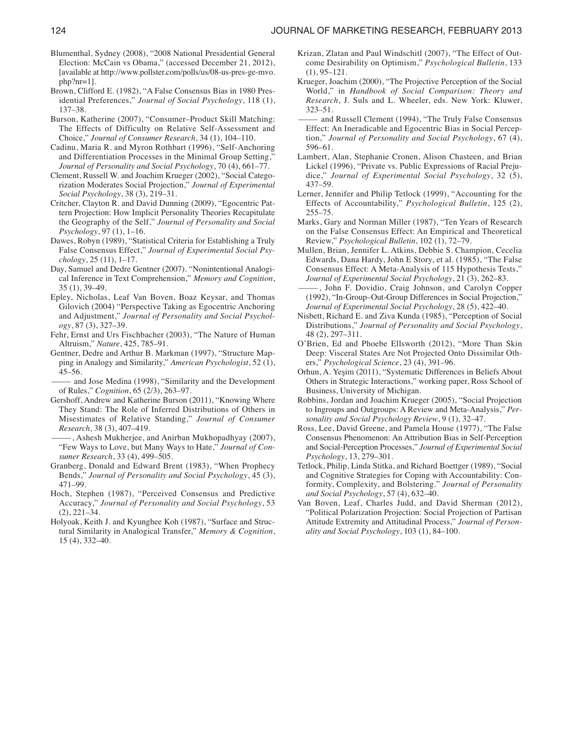- Blumenthal, Sydney (2008), "2008 National Presidential General Election: McCain vs Obama," (accessed December 21, 2012), [available at http://www.pollster.com/polls/us/08-us-pres-ge-mvo. php?nr=1].
- Brown, Clifford E. (1982), "A False Consensus Bias in 1980 Presidential Preferences," *Journal of Social Psychology*, 118 (1), 137–38.
- Burson, Katherine (2007), "Consumer–Product Skill Matching: The Effects of Difficulty on Relative Self-Assessment and Choice," *Journal of Consumer Research*, 34 (1), 104–110.
- Cadinu, Maria R. and Myron Rothbart (1996), "Self-Anchoring and Differentiation Processes in the Minimal Group Setting, *Journal of Personality and Social Psychology*, 70 (4), 661–77.
- Clement, Russell W. and Joachim Krueger (2002), "Social Categorization Moderates Social Projection," *Journal of Experimental Social Psychology*, 38 (3), 219–31.
- Critcher, Clayton R. and David Dunning (2009), "Egocentric Pattern Projection: How Implicit Personality Theories Recapitulate the Geography of the Self," *Journal of Personality and Social Psychology*, 97 (1), 1–16.
- Dawes, Robyn (1989), "Statistical Criteria for Establishing a Truly False Consensus Effect," *Journal of Experimental Social Psychology*, 25 (11), 1–17.
- Day, Samuel and Dedre Gentner (2007). "Nonintentional Analogical Inference in Text Comprehension," *Memory and Cognition*, 35 (1), 39–49.
- Epley, Nicholas, Leaf Van Boven, Boaz Keysar, and Thomas Gilovich (2004) "Perspective Taking as Egocentric Anchoring and Adjustment," *Journal of Personality and Social Psychology*, 87 (3), 327–39.
- Fehr, Ernst and Urs Fischbacher (2003), "The Nature of Human Altruism," *Nature*, 425, 785–91.
- Gentner, Dedre and Arthur B. Markman (1997), "Structure Mapping in Analogy and Similarity," *American Psychologist*, 52 (1), 45–56.
- and Jose Medina (1998), "Similarity and the Development of Rules," *Cognition*, 65 (2/3), 263–97.
- Gershoff, Andrew and Katherine Burson (2011), "Knowing Where They Stand: The Role of Inferred Distributions of Others in Misestimates of Relative Standing," *Journal of Consumer Research*, 38 (3), 407–419.
- , Ashesh Mukherjee, and Anirban Mukhopadhyay (2007), "Few Ways to Love, but Many Ways to Hate," *Journal of Consumer Research*, 33 (4), 499–505.
- Granberg, Donald and Edward Brent (1983), "When Prophecy Bends," *Journal of Personality and Social Psychology*, 45 (3), 471–99.
- Hoch, Stephen (1987), "Perceived Consensus and Predictive Accuracy," *Journal of Personality and Social Psychology*, 53 (2), 221–34.
- Holyoak, Keith J. and Kyunghee Koh (1987), "Surface and Structural Similarity in Analogical Transfer," *Memory & Cognition*, 15 (4), 332–40.
- Krizan, Zlatan and Paul Windschitl (2007), "The Effect of Outcome Desirability on Optimism," *Psychological Bulletin*, 133 (1), 95–121.
- Krueger, Joachim (2000), "The Projective Perception of the Social World," in *Handbook of Social Comparison: Theory and Research*, J. Suls and L. Wheeler, eds. New York: Kluwer, 323–51.
- and Russell Clement (1994), "The Truly False Consensus Effect: An Ineradicable and Egocentric Bias in Social Perception," *Journal of Personality and Social Psychology*, 67 (4), 596–61.
- Lambert, Alan, Stephanie Cronen, Alison Chasteen, and Brian Lickel (1996), "Private vs. Public Expressions of Racial Prejudice," *Journal of Experimental Social Psychology*, 32 (5), 437–59.
- Lerner, Jennifer and Philip Tetlock (1999), "Accounting for the Effects of Accountability," *Psychological Bulletin*, 125 (2), 255–75.
- Marks, Gary and Norman Miller (1987), "Ten Years of Research on the False Consensus Effect: An Empirical and Theoretical Review," *Psychological Bulletin*, 102 (1), 72–79.
- Mullen, Brian, Jennifer L. Atkins, Debbie S. Champion, Cecelia Edwards, Dana Hardy, John E Story, et al. (1985), "The False Consensus Effect: A Meta-Analysis of 115 Hypothesis Tests," *Journal of Experimental Social Psychology*, 21 (3), 262–83.
- ———, John F. Dovidio, Craig Johnson, and Carolyn Copper (1992), "In-Group–Out-Group Differences in Social Projection," *Journal of Experimental Social Psychology*, 28 (5), 422–40.
- Nisbett, Richard E. and Ziva Kunda (1985), "Perception of Social Distributions," *Journal of Personality and Social Psychology*, 48 (2), 297–311.
- O'Brien, Ed and Phoebe Ellsworth (2012), "More Than Skin Deep: Visceral States Are Not Projected Onto Dissimilar Others," *Psychological Science*, 23 (4), 391–96.
- Orhun, A. Yeşim (2011), "Systematic Differences in Beliefs About Others in Strategic Interactions," working paper, Ross School of Business, University of Michigan.
- Robbins, Jordan and Joachim Krueger (2005), "Social Projection to Ingroups and Outgroups: A Review and Meta-Analysis," *Personality and Social Psychology Review*, 9 (1), 32–47.
- Ross, Lee, David Greene, and Pamela House (1977), "The False Consensus Phenomenon: An Attribution Bias in Self-Perception and Social-Perception Processes," *Journal of Experimental Social Psychology*, 13, 279–301.
- Tetlock, Philip, Linda Stitka, and Richard Boettger (1989), "Social and Cognitive Strategies for Coping with Accountability: Conformity, Complexity, and Bolstering." *Journal of Personality and Social Psychology*, 57 (4), 632–40.
- Van Boven, Leaf, Charles Judd, and David Sherman (2012), "Political Polarization Projection: Social Projection of Partisan Attitude Extremity and Attitudinal Process," *Journal of Personality and Social Psychology*, 103 (1), 84–100.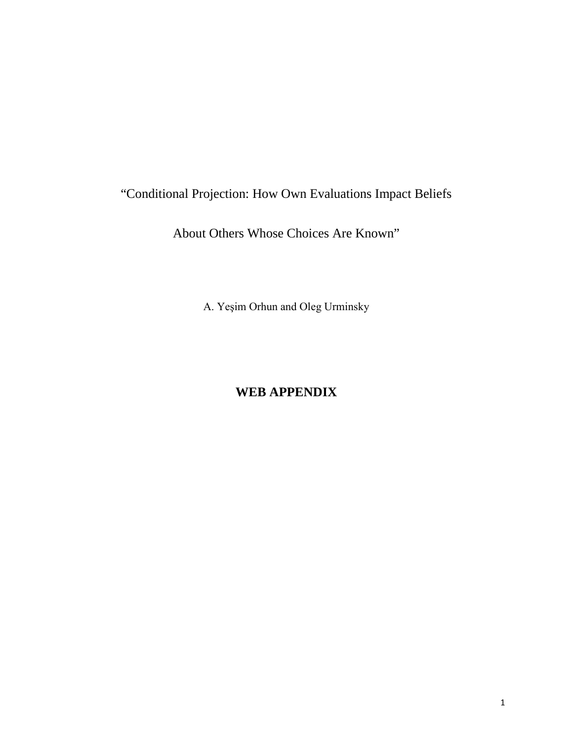# "Conditional Projection: How Own Evaluations Impact Beliefs

About Others Whose Choices Are Known"

A. Yeşim Orhun and Oleg Urminsky

## **WEB APPENDIX**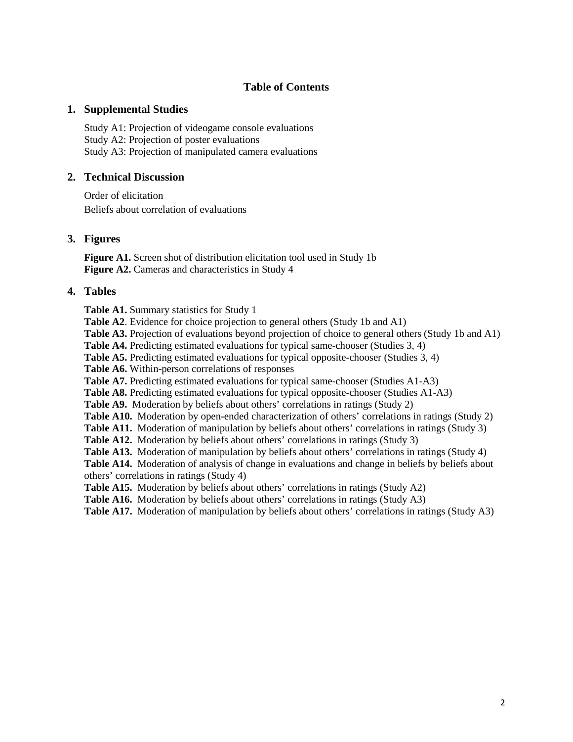### **Table of Contents**

### **1. Supplemental Studies**

Study A1: Projection of videogame console evaluations Study A2: Projection of poster evaluations Study A3: Projection of manipulated camera evaluations

### **2. Technical Discussion**

Order of elicitation Beliefs about correlation of evaluations

### **3. Figures**

Figure A1. Screen shot of distribution elicitation tool used in Study 1b **Figure A2.** Cameras and characteristics in Study 4

### **4. Tables**

**Table A1.** Summary statistics for Study 1

**Table A2.** Evidence for choice projection to general others (Study 1b and A1)

**Table A3.** Projection of evaluations beyond projection of choice to general others (Study 1b and A1)

**Table A4.** Predicting estimated evaluations for typical same-chooser (Studies 3, 4)

**Table A5.** Predicting estimated evaluations for typical opposite-chooser (Studies 3, 4)

**Table A6.** Within-person correlations of responses

**Table A7.** Predicting estimated evaluations for typical same-chooser (Studies A1-A3)

**Table A8.** Predicting estimated evaluations for typical opposite-chooser (Studies A1-A3)

**Table A9.** Moderation by beliefs about others' correlations in ratings (Study 2)

**Table A10.** Moderation by open-ended characterization of others' correlations in ratings (Study 2)

**Table A11.** Moderation of manipulation by beliefs about others' correlations in ratings (Study 3)

**Table A12.** Moderation by beliefs about others' correlations in ratings (Study 3)

**Table A13.** Moderation of manipulation by beliefs about others' correlations in ratings (Study 4)

Table A14. Moderation of analysis of change in evaluations and change in beliefs by beliefs about others' correlations in ratings (Study 4)

**Table A15.** Moderation by beliefs about others' correlations in ratings (Study A2)

**Table A16.** Moderation by beliefs about others' correlations in ratings (Study A3)

**Table A17.** Moderation of manipulation by beliefs about others' correlations in ratings (Study A3)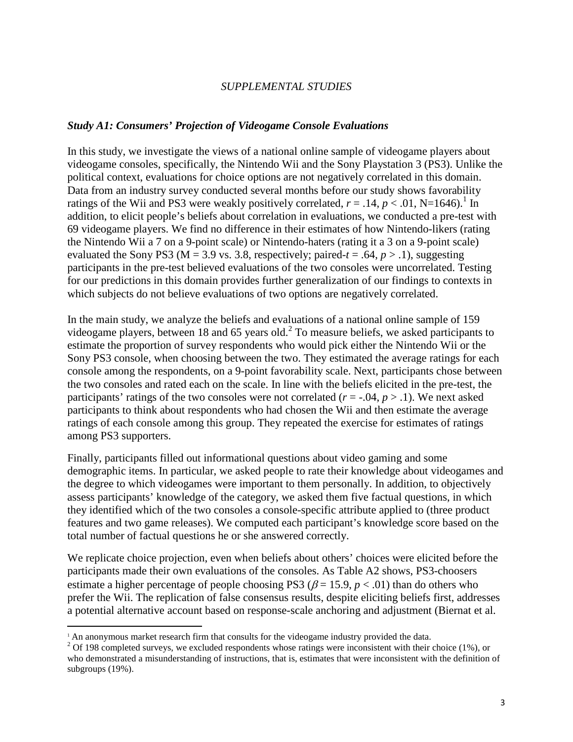### *SUPPLEMENTAL STUDIES*

### *Study A1: Consumers' Projection of Videogame Console Evaluations*

In this study, we investigate the views of a national online sample of videogame players about videogame consoles, specifically, the Nintendo Wii and the Sony Playstation 3 (PS3). Unlike the political context, evaluations for choice options are not negatively correlated in this domain. Data from an industry survey conducted several months before our study shows favorability ratings of the Wii and PS3 were weakly positively correlated,  $r = .14$ ,  $p < .01$ , N=1646).<sup>1</sup> In addition, to elicit people's beliefs about correlation in evaluations, we conducted a pre-test with 69 videogame players. We find no difference in their estimates of how Nintendo-likers (rating the Nintendo Wii a 7 on a 9-point scale) or Nintendo-haters (rating it a 3 on a 9-point scale) evaluated the Sony PS3 ( $M = 3.9$  vs. 3.8, respectively; paired- $t = .64$ ,  $p > .1$ ), suggesting participants in the pre-test believed evaluations of the two consoles were uncorrelated. Testing for our predictions in this domain provides further generalization of our findings to contexts in which subjects do not believe evaluations of two options are negatively correlated.

In the main study, we analyze the beliefs and evaluations of a national online sample of 159 videogame players, between 18 and 65 years old.<sup>2</sup> To measure beliefs, we asked participants to estimate the proportion of survey respondents who would pick either the Nintendo Wii or the Sony PS3 console, when choosing between the two. They estimated the average ratings for each console among the respondents, on a 9-point favorability scale. Next, participants chose between the two consoles and rated each on the scale. In line with the beliefs elicited in the pre-test, the participants' ratings of the two consoles were not correlated  $(r = -0.04, p > 0.1)$ . We next asked participants to think about respondents who had chosen the Wii and then estimate the average ratings of each console among this group. They repeated the exercise for estimates of ratings among PS3 supporters.

Finally, participants filled out informational questions about video gaming and some demographic items. In particular, we asked people to rate their knowledge about videogames and the degree to which videogames were important to them personally. In addition, to objectively assess participants' knowledge of the category, we asked them five factual questions, in which they identified which of the two consoles a console-specific attribute applied to (three product features and two game releases). We computed each participant's knowledge score based on the total number of factual questions he or she answered correctly.

We replicate choice projection, even when beliefs about others' choices were elicited before the participants made their own evaluations of the consoles. As Table A2 shows, PS3-choosers estimate a higher percentage of people choosing PS3 ( $\beta$  = 15.9,  $p$  < .01) than do others who prefer the Wii. The replication of false consensus results, despite eliciting beliefs first, addresses a potential alternative account based on response-scale anchoring and adjustment (Biernat et al.

l

<sup>&</sup>lt;sup>1</sup> An anonymous market research firm that consults for the videogame industry provided the data.

<sup>&</sup>lt;sup>2</sup> Of 198 completed surveys, we excluded respondents whose ratings were inconsistent with their choice (1%), or who demonstrated a misunderstanding of instructions, that is, estimates that were inconsistent with the definition of subgroups (19%).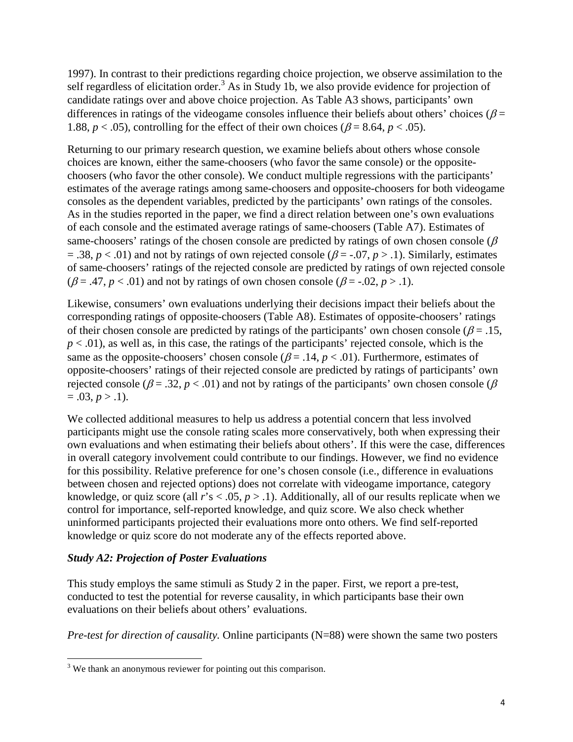1997). In contrast to their predictions regarding choice projection, we observe assimilation to the self regardless of elicitation order.<sup>3</sup> As in Study 1b, we also provide evidence for projection of candidate ratings over and above choice projection. As Table A3 shows, participants' own differences in ratings of the videogame consoles influence their beliefs about others' choices ( $\beta$  = 1.88,  $p < .05$ ), controlling for the effect of their own choices ( $\beta = 8.64$ ,  $p < .05$ ).

Returning to our primary research question, we examine beliefs about others whose console choices are known, either the same-choosers (who favor the same console) or the oppositechoosers (who favor the other console). We conduct multiple regressions with the participants' estimates of the average ratings among same-choosers and opposite-choosers for both videogame consoles as the dependent variables, predicted by the participants' own ratings of the consoles. As in the studies reported in the paper, we find a direct relation between one's own evaluations of each console and the estimated average ratings of same-choosers (Table A7). Estimates of same-choosers' ratings of the chosen console are predicted by ratings of own chosen console ( $\beta$ )  $= .38$ ,  $p < .01$ ) and not by ratings of own rejected console ( $\beta = .07$ ,  $p > .1$ ). Similarly, estimates of same-choosers' ratings of the rejected console are predicted by ratings of own rejected console  $(\beta = .47, p < .01)$  and not by ratings of own chosen console  $(\beta = .02, p > .1)$ .

Likewise, consumers' own evaluations underlying their decisions impact their beliefs about the corresponding ratings of opposite-choosers (Table A8). Estimates of opposite-choosers' ratings of their chosen console are predicted by ratings of the participants' own chosen console ( $\beta$  = .15,  $p < .01$ ), as well as, in this case, the ratings of the participants' rejected console, which is the same as the opposite-choosers' chosen console ( $\beta$  = .14,  $p$  < .01). Furthermore, estimates of opposite-choosers' ratings of their rejected console are predicted by ratings of participants' own rejected console ( $\beta$  = .32,  $p$  < .01) and not by ratings of the participants' own chosen console ( $\beta$  $= .03, p > .1$ ).

We collected additional measures to help us address a potential concern that less involved participants might use the console rating scales more conservatively, both when expressing their own evaluations and when estimating their beliefs about others'. If this were the case, differences in overall category involvement could contribute to our findings. However, we find no evidence for this possibility. Relative preference for one's chosen console (i.e., difference in evaluations between chosen and rejected options) does not correlate with videogame importance, category knowledge, or quiz score (all  $r$ 's < .05,  $p > 0.1$ ). Additionally, all of our results replicate when we control for importance, self-reported knowledge, and quiz score. We also check whether uninformed participants projected their evaluations more onto others. We find self-reported knowledge or quiz score do not moderate any of the effects reported above.

### *Study A2: Projection of Poster Evaluations*

This study employs the same stimuli as Study 2 in the paper. First, we report a pre-test, conducted to test the potential for reverse causality, in which participants base their own evaluations on their beliefs about others' evaluations.

*Pre-test for direction of causality.* Online participants (N=88) were shown the same two posters

<sup>&</sup>lt;sup>3</sup> We thank an anonymous reviewer for pointing out this comparison.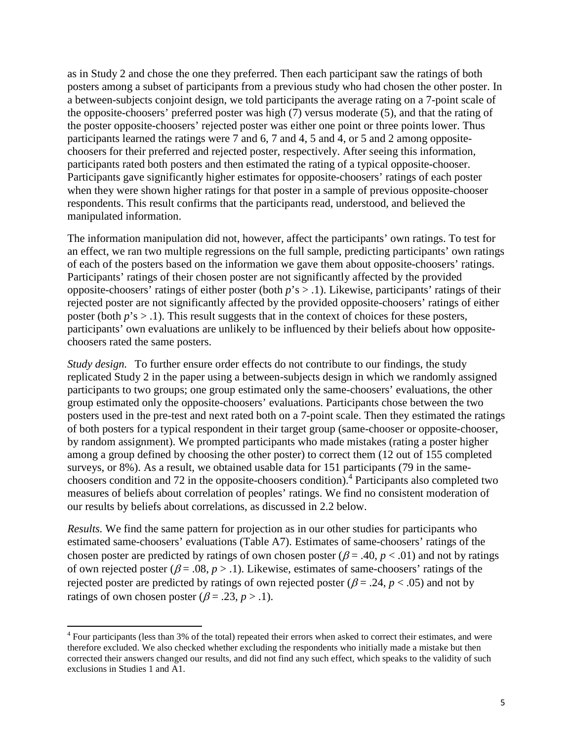as in Study 2 and chose the one they preferred. Then each participant saw the ratings of both posters among a subset of participants from a previous study who had chosen the other poster. In a between-subjects conjoint design, we told participants the average rating on a 7-point scale of the opposite-choosers' preferred poster was high (7) versus moderate (5), and that the rating of the poster opposite-choosers' rejected poster was either one point or three points lower. Thus participants learned the ratings were 7 and 6, 7 and 4, 5 and 4, or 5 and 2 among oppositechoosers for their preferred and rejected poster, respectively. After seeing this information, participants rated both posters and then estimated the rating of a typical opposite-chooser. Participants gave significantly higher estimates for opposite-choosers' ratings of each poster when they were shown higher ratings for that poster in a sample of previous opposite-chooser respondents. This result confirms that the participants read, understood, and believed the manipulated information.

The information manipulation did not, however, affect the participants' own ratings. To test for an effect, we ran two multiple regressions on the full sample, predicting participants' own ratings of each of the posters based on the information we gave them about opposite-choosers' ratings. Participants' ratings of their chosen poster are not significantly affected by the provided opposite-choosers' ratings of either poster (both *p*'s > .1). Likewise, participants' ratings of their rejected poster are not significantly affected by the provided opposite-choosers' ratings of either poster (both  $p$ 's > .1). This result suggests that in the context of choices for these posters, participants' own evaluations are unlikely to be influenced by their beliefs about how oppositechoosers rated the same posters.

*Study design.* To further ensure order effects do not contribute to our findings, the study replicated Study 2 in the paper using a between-subjects design in which we randomly assigned participants to two groups; one group estimated only the same-choosers' evaluations, the other group estimated only the opposite-choosers' evaluations. Participants chose between the two posters used in the pre-test and next rated both on a 7-point scale. Then they estimated the ratings of both posters for a typical respondent in their target group (same-chooser or opposite-chooser, by random assignment). We prompted participants who made mistakes (rating a poster higher among a group defined by choosing the other poster) to correct them (12 out of 155 completed surveys, or 8%). As a result, we obtained usable data for 151 participants (79 in the samechoosers condition and 72 in the opposite-choosers condition).4 Participants also completed two measures of beliefs about correlation of peoples' ratings. We find no consistent moderation of our results by beliefs about correlations, as discussed in 2.2 below.

*Results.* We find the same pattern for projection as in our other studies for participants who estimated same-choosers' evaluations (Table A7). Estimates of same-choosers' ratings of the chosen poster are predicted by ratings of own chosen poster ( $\beta$  = .40,  $p$  < .01) and not by ratings of own rejected poster ( $\beta$  = .08,  $p > 0.1$ ). Likewise, estimates of same-choosers' ratings of the rejected poster are predicted by ratings of own rejected poster ( $\beta$  = .24,  $p$  < .05) and not by ratings of own chosen poster ( $\beta$  = .23,  $p > 0.1$ ).

<sup>4</sup> Four participants (less than 3% of the total) repeated their errors when asked to correct their estimates, and were therefore excluded. We also checked whether excluding the respondents who initially made a mistake but then corrected their answers changed our results, and did not find any such effect, which speaks to the validity of such exclusions in Studies 1 and A1.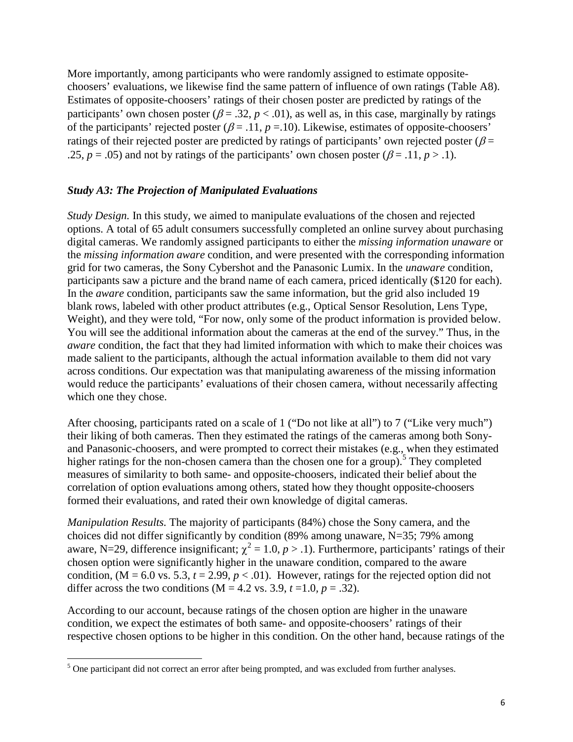More importantly, among participants who were randomly assigned to estimate oppositechoosers' evaluations, we likewise find the same pattern of influence of own ratings (Table A8). Estimates of opposite-choosers' ratings of their chosen poster are predicted by ratings of the participants' own chosen poster ( $\beta = .32$ ,  $p < .01$ ), as well as, in this case, marginally by ratings of the participants' rejected poster ( $\beta$  = .11,  $p$  = .10). Likewise, estimates of opposite-choosers' ratings of their rejected poster are predicted by ratings of participants' own rejected poster ( $\beta$  = .25,  $p = .05$ ) and not by ratings of the participants' own chosen poster ( $\beta = .11$ ,  $p > .1$ ).

### *Study A3: The Projection of Manipulated Evaluations*

*Study Design.* In this study, we aimed to manipulate evaluations of the chosen and rejected options. A total of 65 adult consumers successfully completed an online survey about purchasing digital cameras. We randomly assigned participants to either the *missing information unaware* or the *missing information aware* condition, and were presented with the corresponding information grid for two cameras, the Sony Cybershot and the Panasonic Lumix. In the *unaware* condition, participants saw a picture and the brand name of each camera, priced identically (\$120 for each). In the *aware* condition, participants saw the same information, but the grid also included 19 blank rows, labeled with other product attributes (e.g., Optical Sensor Resolution, Lens Type, Weight), and they were told, "For now, only some of the product information is provided below. You will see the additional information about the cameras at the end of the survey." Thus, in the *aware* condition, the fact that they had limited information with which to make their choices was made salient to the participants, although the actual information available to them did not vary across conditions. Our expectation was that manipulating awareness of the missing information would reduce the participants' evaluations of their chosen camera, without necessarily affecting which one they chose.

After choosing, participants rated on a scale of 1 ("Do not like at all") to 7 ("Like very much") their liking of both cameras. Then they estimated the ratings of the cameras among both Sonyand Panasonic-choosers, and were prompted to correct their mistakes (e.g., when they estimated higher ratings for the non-chosen camera than the chosen one for a group).<sup>5</sup> They completed measures of similarity to both same- and opposite-choosers, indicated their belief about the correlation of option evaluations among others, stated how they thought opposite-choosers formed their evaluations, and rated their own knowledge of digital cameras.

*Manipulation Results.* The majority of participants (84%) chose the Sony camera, and the choices did not differ significantly by condition (89% among unaware, N=35; 79% among aware, N=29, difference insignificant;  $\chi^2 = 1.0, p > .1$ ). Furthermore, participants' ratings of their chosen option were significantly higher in the unaware condition, compared to the aware condition,  $(M = 6.0 \text{ vs. } 5.3, t = 2.99, p < .01)$ . However, ratings for the rejected option did not differ across the two conditions ( $M = 4.2$  vs. 3.9,  $t = 1.0$ ,  $p = .32$ ).

According to our account, because ratings of the chosen option are higher in the unaware condition, we expect the estimates of both same- and opposite-choosers' ratings of their respective chosen options to be higher in this condition. On the other hand, because ratings of the

<sup>&</sup>lt;sup>5</sup> One participant did not correct an error after being prompted, and was excluded from further analyses.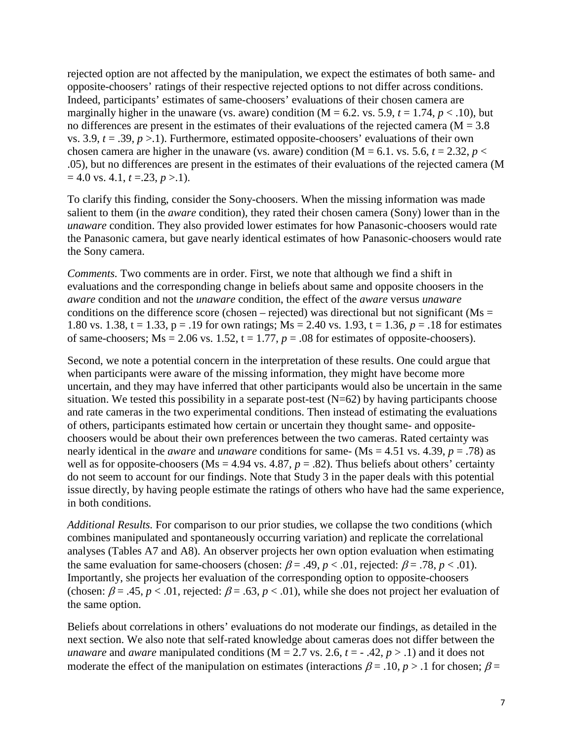rejected option are not affected by the manipulation, we expect the estimates of both same- and opposite-choosers' ratings of their respective rejected options to not differ across conditions. Indeed, participants' estimates of same-choosers' evaluations of their chosen camera are marginally higher in the unaware (vs. aware) condition ( $M = 6.2$ . vs. 5.9,  $t = 1.74$ ,  $p < .10$ ), but no differences are present in the estimates of their evaluations of the rejected camera ( $M = 3.8$ ) vs. 3.9,  $t = .39$ ,  $p > .1$ ). Furthermore, estimated opposite-choosers' evaluations of their own chosen camera are higher in the unaware (vs. aware) condition ( $M = 6.1$ , vs. 5.6,  $t = 2.32$ ,  $p <$ .05), but no differences are present in the estimates of their evaluations of the rejected camera (M  $= 4.0$  vs. 4.1,  $t = 23$ ,  $p > 1$ ).

To clarify this finding, consider the Sony-choosers. When the missing information was made salient to them (in the *aware* condition), they rated their chosen camera (Sony) lower than in the *unaware* condition. They also provided lower estimates for how Panasonic-choosers would rate the Panasonic camera, but gave nearly identical estimates of how Panasonic-choosers would rate the Sony camera.

*Comments.* Two comments are in order. First, we note that although we find a shift in evaluations and the corresponding change in beliefs about same and opposite choosers in the *aware* condition and not the *unaware* condition, the effect of the *aware* versus *unaware* conditions on the difference score (chosen – rejected) was directional but not significant ( $Ms =$ 1.80 vs. 1.38, t = 1.33, p = .19 for own ratings; Ms = 2.40 vs. 1.93, t = 1.36, *p* = .18 for estimates of same-choosers;  $Ms = 2.06$  vs.  $1.52$ ,  $t = 1.77$ ,  $p = .08$  for estimates of opposite-choosers).

Second, we note a potential concern in the interpretation of these results. One could argue that when participants were aware of the missing information, they might have become more uncertain, and they may have inferred that other participants would also be uncertain in the same situation. We tested this possibility in a separate post-test  $(N=62)$  by having participants choose and rate cameras in the two experimental conditions. Then instead of estimating the evaluations of others, participants estimated how certain or uncertain they thought same- and oppositechoosers would be about their own preferences between the two cameras. Rated certainty was nearly identical in the *aware* and *unaware* conditions for same- (Ms = 4.51 vs. 4.39, *p* = .78) as well as for opposite-choosers (Ms = 4.94 vs. 4.87,  $p = .82$ ). Thus beliefs about others' certainty do not seem to account for our findings. Note that Study 3 in the paper deals with this potential issue directly, by having people estimate the ratings of others who have had the same experience, in both conditions.

*Additional Results.* For comparison to our prior studies, we collapse the two conditions (which combines manipulated and spontaneously occurring variation) and replicate the correlational analyses (Tables A7 and A8). An observer projects her own option evaluation when estimating the same evaluation for same-choosers (chosen:  $\beta = .49$ ,  $p < .01$ , rejected:  $\beta = .78$ ,  $p < .01$ ). Importantly, she projects her evaluation of the corresponding option to opposite-choosers (chosen:  $\beta = .45$ ,  $p < .01$ , rejected:  $\beta = .63$ ,  $p < .01$ ), while she does not project her evaluation of the same option.

Beliefs about correlations in others' evaluations do not moderate our findings, as detailed in the next section. We also note that self-rated knowledge about cameras does not differ between the *unaware* and *aware* manipulated conditions ( $M = 2.7$  vs. 2.6,  $t = -0.42$ ,  $p > 0.1$ ) and it does not moderate the effect of the manipulation on estimates (interactions  $\beta = .10$ ,  $p > .1$  for chosen;  $\beta =$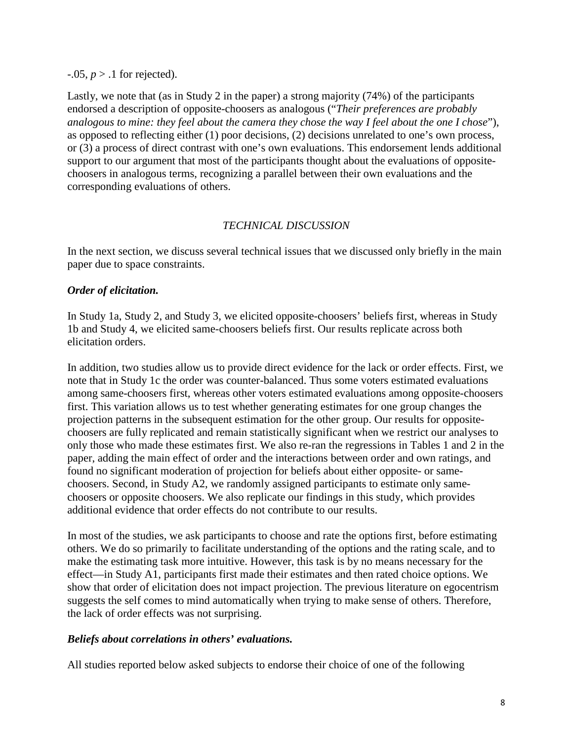$-0.05$ ,  $p > 0.1$  for rejected).

Lastly, we note that (as in Study 2 in the paper) a strong majority (74%) of the participants endorsed a description of opposite-choosers as analogous ("*Their preferences are probably analogous to mine: they feel about the camera they chose the way I feel about the one I chose*"), as opposed to reflecting either (1) poor decisions, (2) decisions unrelated to one's own process, or (3) a process of direct contrast with one's own evaluations. This endorsement lends additional support to our argument that most of the participants thought about the evaluations of oppositechoosers in analogous terms, recognizing a parallel between their own evaluations and the corresponding evaluations of others.

### *TECHNICAL DISCUSSION*

In the next section, we discuss several technical issues that we discussed only briefly in the main paper due to space constraints.

### *Order of elicitation.*

In Study 1a, Study 2, and Study 3, we elicited opposite-choosers' beliefs first, whereas in Study 1b and Study 4, we elicited same-choosers beliefs first. Our results replicate across both elicitation orders.

In addition, two studies allow us to provide direct evidence for the lack or order effects. First, we note that in Study 1c the order was counter-balanced. Thus some voters estimated evaluations among same-choosers first, whereas other voters estimated evaluations among opposite-choosers first. This variation allows us to test whether generating estimates for one group changes the projection patterns in the subsequent estimation for the other group. Our results for oppositechoosers are fully replicated and remain statistically significant when we restrict our analyses to only those who made these estimates first. We also re-ran the regressions in Tables 1 and 2 in the paper, adding the main effect of order and the interactions between order and own ratings, and found no significant moderation of projection for beliefs about either opposite- or samechoosers. Second, in Study A2, we randomly assigned participants to estimate only samechoosers or opposite choosers. We also replicate our findings in this study, which provides additional evidence that order effects do not contribute to our results.

In most of the studies, we ask participants to choose and rate the options first, before estimating others. We do so primarily to facilitate understanding of the options and the rating scale, and to make the estimating task more intuitive. However, this task is by no means necessary for the effect—in Study A1, participants first made their estimates and then rated choice options. We show that order of elicitation does not impact projection. The previous literature on egocentrism suggests the self comes to mind automatically when trying to make sense of others. Therefore, the lack of order effects was not surprising.

### *Beliefs about correlations in others' evaluations.*

All studies reported below asked subjects to endorse their choice of one of the following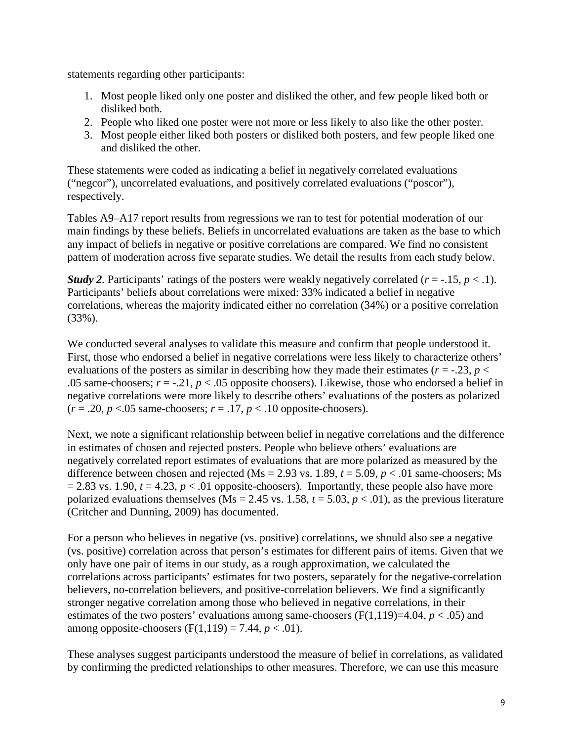statements regarding other participants:

- 1. Most people liked only one poster and disliked the other, and few people liked both or disliked both.
- 2. People who liked one poster were not more or less likely to also like the other poster.
- 3. Most people either liked both posters or disliked both posters, and few people liked one and disliked the other.

These statements were coded as indicating a belief in negatively correlated evaluations ("negcor"), uncorrelated evaluations, and positively correlated evaluations ("poscor"), respectively.

Tables A9–A17 report results from regressions we ran to test for potential moderation of our main findings by these beliefs. Beliefs in uncorrelated evaluations are taken as the base to which any impact of beliefs in negative or positive correlations are compared. We find no consistent pattern of moderation across five separate studies. We detail the results from each study below.

*Study 2*. Participants' ratings of the posters were weakly negatively correlated  $(r = -15, p < 0.1)$ . Participants' beliefs about correlations were mixed: 33% indicated a belief in negative correlations, whereas the majority indicated either no correlation (34%) or a positive correlation (33%).

We conducted several analyses to validate this measure and confirm that people understood it. First, those who endorsed a belief in negative correlations were less likely to characterize others' evaluations of the posters as similar in describing how they made their estimates ( $r = -23$ ,  $p <$ .05 same-choosers;  $r = -0.21$ ,  $p < 0.05$  opposite choosers). Likewise, those who endorsed a belief in negative correlations were more likely to describe others' evaluations of the posters as polarized  $(r = .20, p < .05$  same-choosers;  $r = .17, p < .10$  opposite-choosers).

Next, we note a significant relationship between belief in negative correlations and the difference in estimates of chosen and rejected posters. People who believe others' evaluations are negatively correlated report estimates of evaluations that are more polarized as measured by the difference between chosen and rejected (Ms = 2.93 vs. 1.89,  $t = 5.09$ ,  $p < .01$  same-choosers; Ms  $= 2.83$  vs. 1.90,  $t = 4.23$ ,  $p < 0.01$  opposite-choosers). Importantly, these people also have more polarized evaluations themselves (Ms = 2.45 vs. 1.58,  $t = 5.03$ ,  $p < .01$ ), as the previous literature (Critcher and Dunning, 2009) has documented.

For a person who believes in negative (vs. positive) correlations, we should also see a negative (vs. positive) correlation across that person's estimates for different pairs of items. Given that we only have one pair of items in our study, as a rough approximation, we calculated the correlations across participants' estimates for two posters, separately for the negative-correlation believers, no-correlation believers, and positive-correlation believers. We find a significantly stronger negative correlation among those who believed in negative correlations, in their estimates of the two posters' evaluations among same-choosers  $(F(1,119)=4.04, p < .05)$  and among opposite-choosers  $(F(1,119) = 7.44, p < .01)$ .

These analyses suggest participants understood the measure of belief in correlations, as validated by confirming the predicted relationships to other measures. Therefore, we can use this measure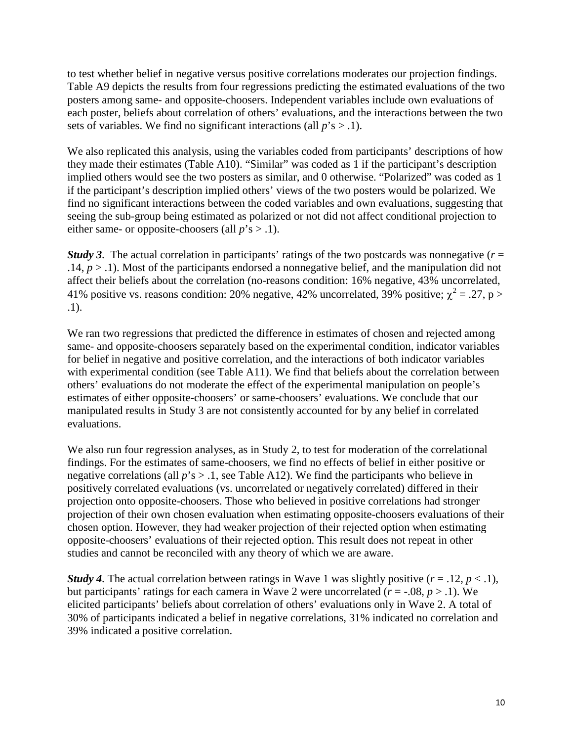to test whether belief in negative versus positive correlations moderates our projection findings. Table A9 depicts the results from four regressions predicting the estimated evaluations of the two posters among same- and opposite-choosers. Independent variables include own evaluations of each poster, beliefs about correlation of others' evaluations, and the interactions between the two sets of variables. We find no significant interactions (all  $p$ 's  $>$  .1).

We also replicated this analysis, using the variables coded from participants' descriptions of how they made their estimates (Table A10). "Similar" was coded as 1 if the participant's description implied others would see the two posters as similar, and 0 otherwise. "Polarized" was coded as 1 if the participant's description implied others' views of the two posters would be polarized. We find no significant interactions between the coded variables and own evaluations, suggesting that seeing the sub-group being estimated as polarized or not did not affect conditional projection to either same- or opposite-choosers (all  $p's > .1$ ).

*Study 3*. The actual correlation in participants' ratings of the two postcards was nonnegative  $(r =$ .14,  $p > 0.1$ ). Most of the participants endorsed a nonnegative belief, and the manipulation did not affect their beliefs about the correlation (no-reasons condition: 16% negative, 43% uncorrelated, 41% positive vs. reasons condition: 20% negative, 42% uncorrelated, 39% positive;  $\gamma^2 = .27$ , p > .1).

We ran two regressions that predicted the difference in estimates of chosen and rejected among same- and opposite-choosers separately based on the experimental condition, indicator variables for belief in negative and positive correlation, and the interactions of both indicator variables with experimental condition (see Table A11). We find that beliefs about the correlation between others' evaluations do not moderate the effect of the experimental manipulation on people's estimates of either opposite-choosers' or same-choosers' evaluations. We conclude that our manipulated results in Study 3 are not consistently accounted for by any belief in correlated evaluations.

We also run four regression analyses, as in Study 2, to test for moderation of the correlational findings. For the estimates of same-choosers, we find no effects of belief in either positive or negative correlations (all  $p$ 's  $> 0.1$ , see Table A12). We find the participants who believe in positively correlated evaluations (vs. uncorrelated or negatively correlated) differed in their projection onto opposite-choosers. Those who believed in positive correlations had stronger projection of their own chosen evaluation when estimating opposite-choosers evaluations of their chosen option. However, they had weaker projection of their rejected option when estimating opposite-choosers' evaluations of their rejected option. This result does not repeat in other studies and cannot be reconciled with any theory of which we are aware.

*Study 4*. The actual correlation between ratings in Wave 1 was slightly positive  $(r = .12, p < .1)$ , but participants' ratings for each camera in Wave 2 were uncorrelated  $(r = -0.08, p > 0.1)$ . We elicited participants' beliefs about correlation of others' evaluations only in Wave 2. A total of 30% of participants indicated a belief in negative correlations, 31% indicated no correlation and 39% indicated a positive correlation.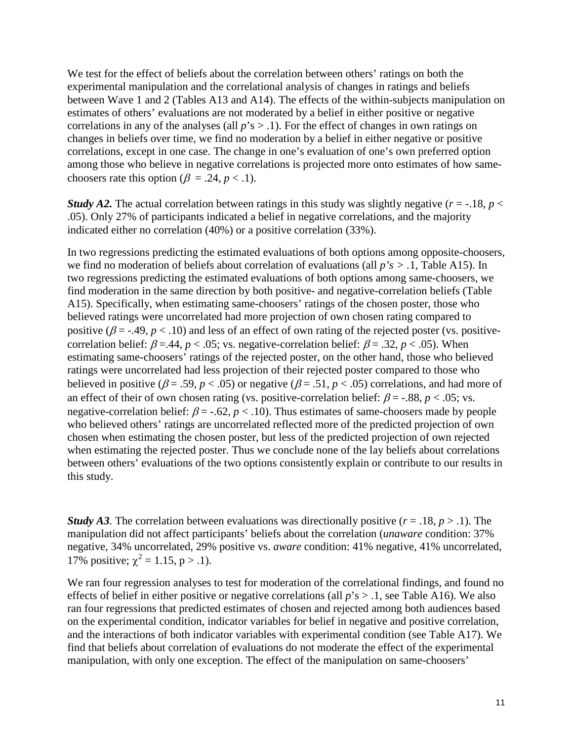We test for the effect of beliefs about the correlation between others' ratings on both the experimental manipulation and the correlational analysis of changes in ratings and beliefs between Wave 1 and 2 (Tables A13 and A14). The effects of the within-subjects manipulation on estimates of others' evaluations are not moderated by a belief in either positive or negative correlations in any of the analyses (all  $p$ 's  $>$  .1). For the effect of changes in own ratings on changes in beliefs over time, we find no moderation by a belief in either negative or positive correlations, except in one case. The change in one's evaluation of one's own preferred option among those who believe in negative correlations is projected more onto estimates of how samechoosers rate this option ( $\beta = .24$ ,  $p < .1$ ).

*Study A2.* The actual correlation between ratings in this study was slightly negative  $(r = -18, p <$ .05). Only 27% of participants indicated a belief in negative correlations, and the majority indicated either no correlation (40%) or a positive correlation (33%).

In two regressions predicting the estimated evaluations of both options among opposite-choosers, we find no moderation of beliefs about correlation of evaluations (all *p's > .*1, Table A15). In two regressions predicting the estimated evaluations of both options among same-choosers, we find moderation in the same direction by both positive- and negative-correlation beliefs (Table A15). Specifically, when estimating same-choosers' ratings of the chosen poster, those who believed ratings were uncorrelated had more projection of own chosen rating compared to positive ( $\beta$  = -.49,  $p < 0.10$ ) and less of an effect of own rating of the rejected poster (vs. positivecorrelation belief:  $\beta = .44$ ,  $p < .05$ ; vs. negative-correlation belief:  $\beta = .32$ ,  $p < .05$ ). When estimating same-choosers' ratings of the rejected poster, on the other hand, those who believed ratings were uncorrelated had less projection of their rejected poster compared to those who believed in positive ( $\beta$  = .59,  $p$  < .05) or negative ( $\beta$  = .51,  $p$  < .05) correlations, and had more of an effect of their of own chosen rating (vs. positive-correlation belief:  $\beta$  = -.88, *p* < .05; vs. negative-correlation belief:  $\beta$  = -.62,  $p$  < .10). Thus estimates of same-choosers made by people who believed others' ratings are uncorrelated reflected more of the predicted projection of own chosen when estimating the chosen poster, but less of the predicted projection of own rejected when estimating the rejected poster. Thus we conclude none of the lay beliefs about correlations between others' evaluations of the two options consistently explain or contribute to our results in this study.

*Study A3*. The correlation between evaluations was directionally positive ( $r = .18$ ,  $p > .1$ ). The manipulation did not affect participants' beliefs about the correlation (*unaware* condition: 37% negative, 34% uncorrelated, 29% positive vs. *aware* condition: 41% negative, 41% uncorrelated, 17% positive;  $\chi^2 = 1.15$ , p > .1).

We ran four regression analyses to test for moderation of the correlational findings, and found no effects of belief in either positive or negative correlations (all *p*'s > .1, see Table A16). We also ran four regressions that predicted estimates of chosen and rejected among both audiences based on the experimental condition, indicator variables for belief in negative and positive correlation, and the interactions of both indicator variables with experimental condition (see Table A17). We find that beliefs about correlation of evaluations do not moderate the effect of the experimental manipulation, with only one exception. The effect of the manipulation on same-choosers'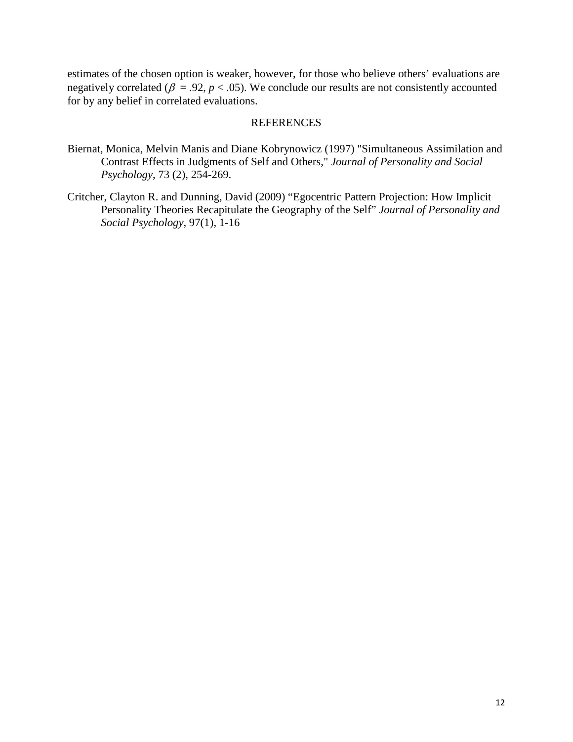estimates of the chosen option is weaker, however, for those who believe others' evaluations are negatively correlated ( $\beta = .92$ ,  $p < .05$ ). We conclude our results are not consistently accounted for by any belief in correlated evaluations.

### REFERENCES

- Biernat, Monica, Melvin Manis and Diane Kobrynowicz (1997) "Simultaneous Assimilation and Contrast Effects in Judgments of Self and Others," *Journal of Personality and Social Psychology*, 73 (2), 254-269.
- Critcher, Clayton R. and Dunning, David (2009) "Egocentric Pattern Projection: How Implicit Personality Theories Recapitulate the Geography of the Self" *Journal of Personality and Social Psychology*, 97(1), 1-16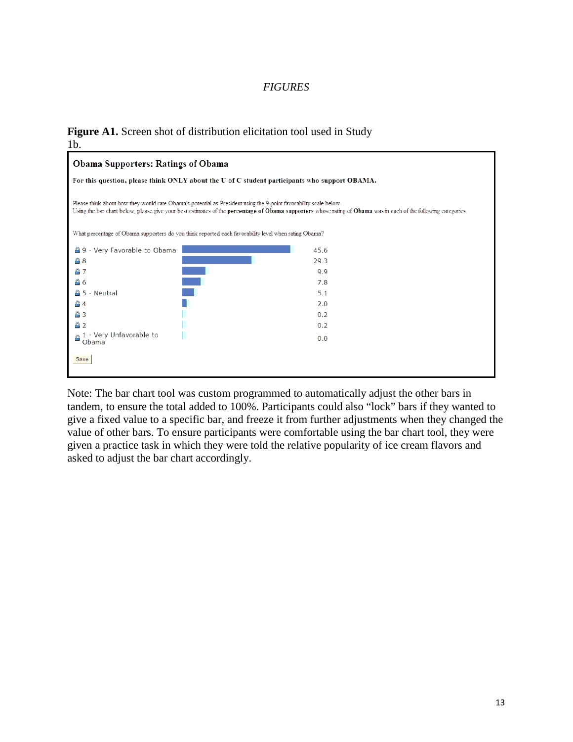### *FIGURES*

### Figure A1. Screen shot of distribution elicitation tool used in Study 1b.

| <b>Obama Supporters: Ratings of Obama</b>                                                                                                                                                                                                                                            |                                                                                                      |      |  |  |  |  |  |
|--------------------------------------------------------------------------------------------------------------------------------------------------------------------------------------------------------------------------------------------------------------------------------------|------------------------------------------------------------------------------------------------------|------|--|--|--|--|--|
| For this question, please think ONLY about the U of C student participants who support OBAMA.                                                                                                                                                                                        |                                                                                                      |      |  |  |  |  |  |
| Please think about how they would rate Obama's potential as President using the 9 point favorability scale below.<br>Using the bar chart below, please give your best estimates of the percentage of Obama supporters whose rating of Obama was in each of the following categories. |                                                                                                      |      |  |  |  |  |  |
|                                                                                                                                                                                                                                                                                      | What percentage of Obama supporters do you think reported each favorability level when rating Obama? |      |  |  |  |  |  |
| 49 - Very Favorable to Obama                                                                                                                                                                                                                                                         |                                                                                                      | 45.6 |  |  |  |  |  |
| $^{\circ}$ 8                                                                                                                                                                                                                                                                         |                                                                                                      | 29.3 |  |  |  |  |  |
| $^{\circ}$ 7                                                                                                                                                                                                                                                                         |                                                                                                      | 9.9  |  |  |  |  |  |
| $^{\circ}$ 6                                                                                                                                                                                                                                                                         |                                                                                                      | 7.8  |  |  |  |  |  |
| <b>△5</b> - Neutral                                                                                                                                                                                                                                                                  |                                                                                                      | 5.1  |  |  |  |  |  |
| €4                                                                                                                                                                                                                                                                                   |                                                                                                      | 2.0  |  |  |  |  |  |
| $^{\circ}$ 3                                                                                                                                                                                                                                                                         |                                                                                                      | 0.2  |  |  |  |  |  |
| $^{\circ}$ 2                                                                                                                                                                                                                                                                         |                                                                                                      | 0.2  |  |  |  |  |  |
| 1 - Very Unfavorable to<br>Obama                                                                                                                                                                                                                                                     |                                                                                                      | 0.0  |  |  |  |  |  |
| Save                                                                                                                                                                                                                                                                                 |                                                                                                      |      |  |  |  |  |  |

Note: The bar chart tool was custom programmed to automatically adjust the other bars in tandem, to ensure the total added to 100%. Participants could also "lock" bars if they wanted to give a fixed value to a specific bar, and freeze it from further adjustments when they changed the value of other bars. To ensure participants were comfortable using the bar chart tool, they were given a practice task in which they were told the relative popularity of ice cream flavors and asked to adjust the bar chart accordingly.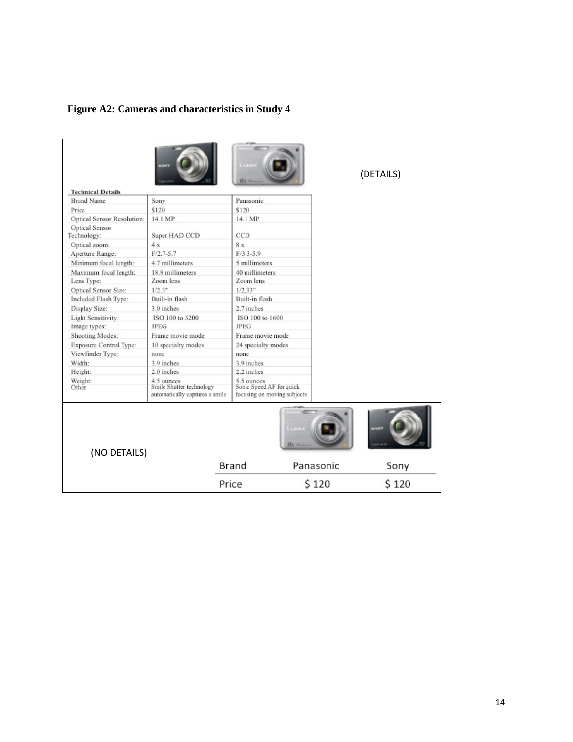|                               |                                                                          |                                                                       |           | (DETAILS) |
|-------------------------------|--------------------------------------------------------------------------|-----------------------------------------------------------------------|-----------|-----------|
| <b>Technical Details</b>      |                                                                          |                                                                       |           |           |
| <b>Brand Name</b>             | Sony                                                                     | Panasonic                                                             |           |           |
| Price                         | \$120                                                                    | \$120                                                                 |           |           |
| Optical Sensor Resolution:    | 14.1 MP                                                                  | 14.1 MP                                                               |           |           |
| Optical Sensor                |                                                                          | CCD                                                                   |           |           |
| Technology:                   | Super HAD CCD                                                            |                                                                       |           |           |
| Optical zoom:                 | 4 x<br>$F/2.7 - 5.7$                                                     | 8x<br>$F/3$ , 3-5.9                                                   |           |           |
| Aperture Range:               |                                                                          |                                                                       |           |           |
| Minimum focal length:         | 4.7 millimeters                                                          | 5 millimeters                                                         |           |           |
| Maximum focal length:         | 18.8 millimeters                                                         | 40 millimeters                                                        |           |           |
| Lens Type:                    | Zoom lens                                                                | Zoom lens                                                             |           |           |
| Optical Sensor Size:          | $1/2.3$ <sup>**</sup>                                                    | 1/2.33"                                                               |           |           |
| Included Flash Type:          | Built-in flash                                                           | Built-in flash                                                        |           |           |
| Display Size:                 | 3.0 inches                                                               | 2.7 inches                                                            |           |           |
| Light Sensitivity:            | ISO 100 to 3200                                                          | ISO 100 to 1600                                                       |           |           |
| Image types:                  | <b>JPEG</b>                                                              | <b>JPEG</b>                                                           |           |           |
| Shooting Modes:               | Frame movie mode                                                         | Frame movie mode                                                      |           |           |
| <b>Exposure Control Type:</b> | 10 specialty modes                                                       | 24 specialty modes                                                    |           |           |
| Viewfinder Type:              | none                                                                     | none                                                                  |           |           |
| Width:                        | 3.9 inches                                                               | 3.9 inches                                                            |           |           |
| Height:                       | 2.0 inches                                                               | 2.2 inches                                                            |           |           |
| Weight:<br>Other              | 4.5 ounces<br>Smile Shutter technology<br>automatically captures a smile | 5.5 ounces<br>Sonic Speed AF for quick<br>focusing on moving subjects |           |           |
| (NO DETAILS)                  |                                                                          | Brand                                                                 | Panasonic | Sony      |
|                               |                                                                          | Price                                                                 | \$120     | \$120     |

### **Figure A2: Cameras and characteristics in Study 4**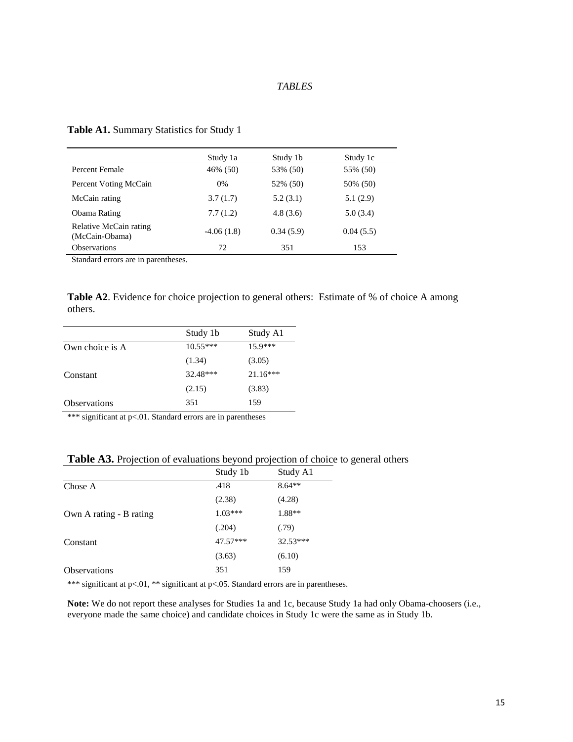### *TABLES*

### **Table A1.** Summary Statistics for Study 1

|                                          | Study 1a     | Study 1b  | Study 1c  |
|------------------------------------------|--------------|-----------|-----------|
| Percent Female                           | 46% (50)     | 53% (50)  | 55% (50)  |
| Percent Voting McCain                    | 0%           | 52% (50)  | 50% (50)  |
| McCain rating                            | 3.7(1.7)     | 5.2(3.1)  | 5.1(2.9)  |
| Obama Rating                             | 7.7(1.2)     | 4.8(3.6)  | 5.0(3.4)  |
| Relative McCain rating<br>(McCain-Obama) | $-4.06(1.8)$ | 0.34(5.9) | 0.04(5.5) |
| <b>Observations</b>                      | 72           | 351       | 153       |

Standard errors are in parentheses.

**Table A2**. Evidence for choice projection to general others: Estimate of % of choice A among others.

|                 | Study 1b   | Study A1   |
|-----------------|------------|------------|
| Own choice is A | $10.55***$ | $15.9***$  |
|                 | (1.34)     | (3.05)     |
| Constant        | 32.48***   | $21.16***$ |
|                 | (2.15)     | (3.83)     |
| Observations    | 351        | 159        |

\*\*\* significant at p<.01. Standard errors are in parentheses

**Table A3.** Projection of evaluations beyond projection of choice to general others

|                         | Study 1b   | Study A1   |
|-------------------------|------------|------------|
| Chose A                 | .418       | $8.64**$   |
|                         | (2.38)     | (4.28)     |
| Own A rating - B rating | $1.03***$  | 1.88**     |
|                         | (.204)     | (.79)      |
| Constant                | $47.57***$ | $32.53***$ |
|                         | (3.63)     | (6.10)     |
| <b>Observations</b>     | 351        | 159        |

\*\*\* significant at p<.01, \*\* significant at p<.05. Standard errors are in parentheses.

**Note:** We do not report these analyses for Studies 1a and 1c, because Study 1a had only Obama-choosers (i.e., everyone made the same choice) and candidate choices in Study 1c were the same as in Study 1b.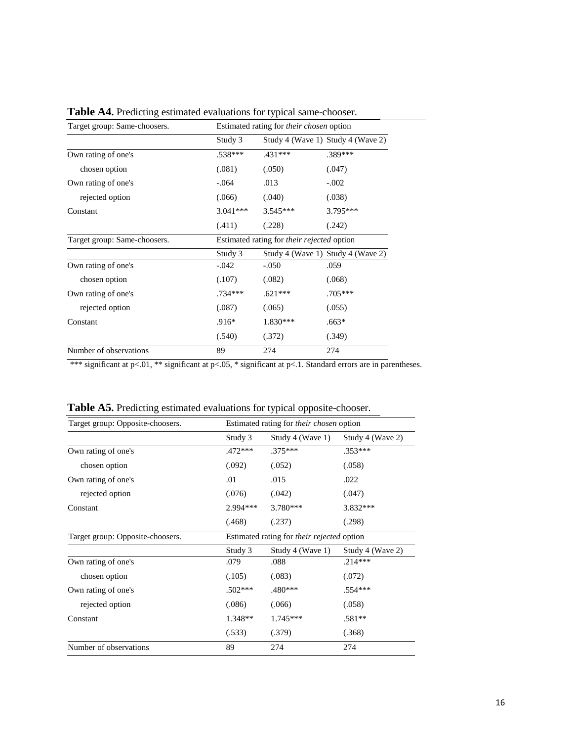| Target group: Same-choosers. |            | Estimated rating for <i>their chosen</i> option   |                                   |  |  |
|------------------------------|------------|---------------------------------------------------|-----------------------------------|--|--|
|                              | Study 3    |                                                   | Study 4 (Wave 1) Study 4 (Wave 2) |  |  |
| Own rating of one's          | $.538***$  | $.431***$                                         | .389***                           |  |  |
| chosen option                | (.081)     | (.050)                                            | (.047)                            |  |  |
| Own rating of one's          | $-.064$    | .013                                              | $-.002$                           |  |  |
| rejected option              | (.066)     | (.040)                                            | (.038)                            |  |  |
| Constant                     | $3.041***$ | $3.545***$                                        | 3.795***                          |  |  |
|                              | (.411)     | (.228)                                            | (.242)                            |  |  |
| Target group: Same-choosers. |            | Estimated rating for <i>their rejected</i> option |                                   |  |  |
|                              | Study 3    |                                                   | Study 4 (Wave 1) Study 4 (Wave 2) |  |  |
| Own rating of one's          | $-.042$    | $-.050$                                           | .059                              |  |  |
| chosen option                | (.107)     | (.082)                                            | (.068)                            |  |  |
| Own rating of one's          | $.734***$  | $.621***$                                         | $.705***$                         |  |  |
| rejected option              | (.087)     | (.065)                                            | (.055)                            |  |  |
| Constant                     | $.916*$    | $1.830***$                                        | $.663*$                           |  |  |
|                              | (.540)     | (.372)                                            | (.349)                            |  |  |
| Number of observations       | 89         | 274                                               | 274                               |  |  |

**Table A4.** Predicting estimated evaluations for typical same-chooser.

\*\*\* significant at p<.01, \*\* significant at p<.05, \* significant at p<.1. Standard errors are in parentheses.

| Table A5. Predicting estimated evaluations for typical opposite-chooser |  |  |  |
|-------------------------------------------------------------------------|--|--|--|
|-------------------------------------------------------------------------|--|--|--|

| Target group: Opposite-choosers. | Estimated rating for their chosen option |                                            |                  |
|----------------------------------|------------------------------------------|--------------------------------------------|------------------|
|                                  | Study 3                                  | Study 4 (Wave 1)                           | Study 4 (Wave 2) |
| Own rating of one's              | $472***$                                 | $.375***$                                  | .353***          |
| chosen option                    | (.092)                                   | (.052)                                     | (.058)           |
| Own rating of one's              | .01                                      | .015                                       | .022             |
| rejected option                  | (.076)                                   | (.042)                                     | (.047)           |
| Constant                         | 2.994 ***                                | $3.780***$                                 | 3.832***         |
|                                  | (.468)                                   | (.237)                                     | (.298)           |
| Target group: Opposite-choosers. |                                          | Estimated rating for their rejected option |                  |
|                                  | Study 3                                  | Study 4 (Wave 1)                           | Study 4 (Wave 2) |
| Own rating of one's              | .079                                     | .088                                       | .214***          |
| chosen option                    | (.105)                                   | (.083)                                     | (.072)           |
| Own rating of one's              | $.502***$                                | $.480***$                                  | $.554***$        |
| rejected option                  | (.086)                                   | (.066)                                     | (.058)           |
| Constant                         | $1.348**$                                | $1.745***$                                 | $.581**$         |
|                                  | (.533)                                   | (.379)                                     | (.368)           |
| Number of observations           | 89                                       | 274                                        | 274              |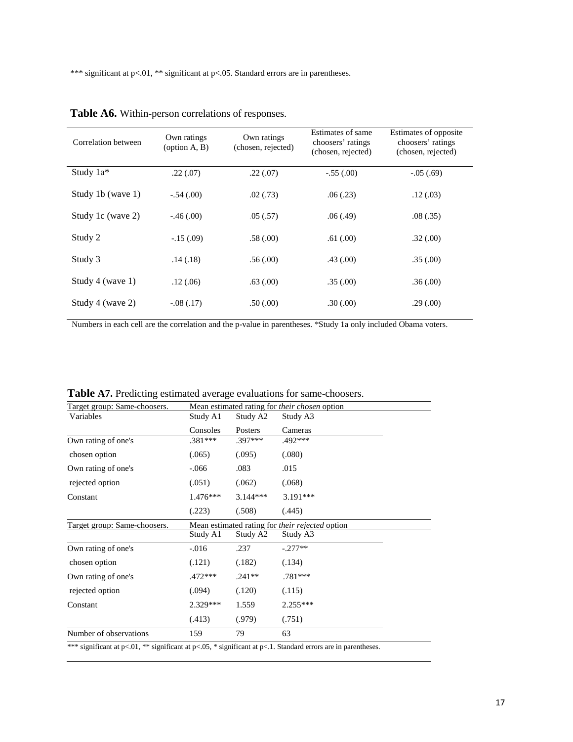\*\*\* significant at p<.01, \*\* significant at p<.05. Standard errors are in parentheses.

| Correlation between | Own ratings<br>$\text{(option A, B)}$ | Own ratings<br>(chosen, rejected) | Estimates of same<br>choosers' ratings<br>(chosen, rejected) | Estimates of opposite.<br>choosers' ratings<br>(chosen, rejected) |
|---------------------|---------------------------------------|-----------------------------------|--------------------------------------------------------------|-------------------------------------------------------------------|
| Study 1a*           | .22(.07)                              | .22(.07)                          | $-.55(.00)$                                                  | $-0.05(0.69)$                                                     |
| Study 1b (wave 1)   | $-.54(.00)$                           | .02(0.73)                         | .06(.23)                                                     | .12(.03)                                                          |
| Study 1c (wave 2)   | $-46(0.00)$                           | .05(.57)                          | .06(.49)                                                     | .08(.35)                                                          |
| Study 2             | $-15(0.09)$                           | .58(.00)                          | .61(.00)                                                     | .32(.00)                                                          |
| Study 3             | .14(.18)                              | .56(.00)                          | .43(.00)                                                     | .35(.00)                                                          |
| Study 4 (wave 1)    | .12(.06)                              | .63(.00)                          | .35(.00)                                                     | .36(.00)                                                          |
| Study 4 (wave 2)    | $-.08(.17)$                           | .50(.00)                          | .30(.00)                                                     | .29(.00)                                                          |

**Table A6.** Within-person correlations of responses.

Numbers in each cell are the correlation and the p-value in parentheses. \*Study 1a only included Obama voters.

| Target group: Same-choosers. |            |            | Mean estimated rating for <i>their chosen</i> option                                                                                        |
|------------------------------|------------|------------|---------------------------------------------------------------------------------------------------------------------------------------------|
| Variables                    | Study A1   | Study A2   | Study A3                                                                                                                                    |
|                              | Consoles   | Posters    | Cameras                                                                                                                                     |
| Own rating of one's          | $.381***$  | $.397***$  | .492***                                                                                                                                     |
| chosen option                | (.065)     | (.095)     | (.080)                                                                                                                                      |
| Own rating of one's          | $-.066$    | .083       | .015                                                                                                                                        |
| rejected option              | (.051)     | (.062)     | (.068)                                                                                                                                      |
| Constant                     | $1.476***$ | $3.144***$ | $3.191***$                                                                                                                                  |
|                              | (.223)     | (.508)     | (.445)                                                                                                                                      |
| Target group: Same-choosers. |            |            | Mean estimated rating for <i>their rejected</i> option                                                                                      |
|                              | Study A1   | Study A2   | Study A3                                                                                                                                    |
| Own rating of one's          | $-0.016$   | .237       | $-.277**$                                                                                                                                   |
| chosen option                | (.121)     | (.182)     | (.134)                                                                                                                                      |
| Own rating of one's          | $.472***$  | $.241**$   | $.781***$                                                                                                                                   |
| rejected option              | (.094)     | (.120)     | (.115)                                                                                                                                      |
| Constant                     | 2.329 ***  | 1.559      | $2.255***$                                                                                                                                  |
|                              | (.413)     | (.979)     | (.751)                                                                                                                                      |
| Number of observations       | 159        | 79         | 63                                                                                                                                          |
|                              |            |            | $***$ significant at $\approx 0.1$ . $**$ significant at $\approx 0.5$ , $*$ significant at $\approx 1$ . Ctandard among ang in nononthages |

**Table A7.** Predicting estimated average evaluations for same-choosers.

\*\*\* significant at p<.01, \*\* significant at p<.05, \* significant at p<.1. Standard errors are in parentheses.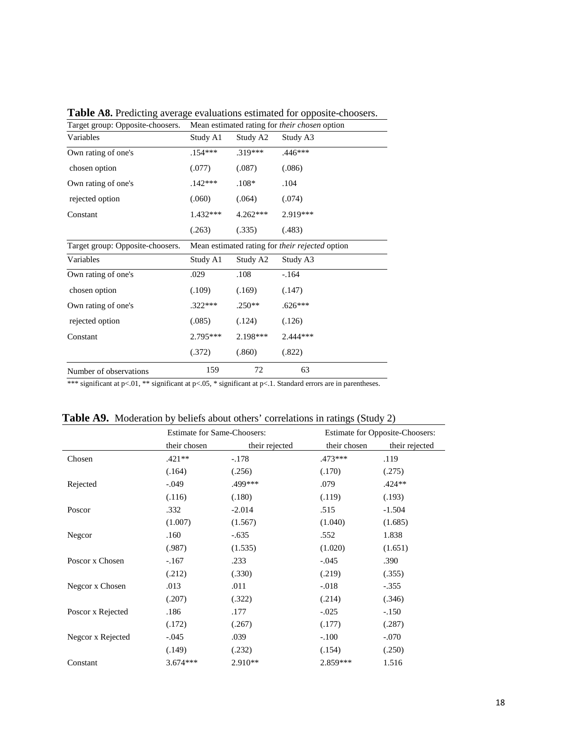| Target group: Opposite-choosers. | Mean estimated rating for their chosen option |                      |                                                        |  |  |
|----------------------------------|-----------------------------------------------|----------------------|--------------------------------------------------------|--|--|
| Variables                        | Study A1                                      | Study A <sub>2</sub> | Study A3                                               |  |  |
| Own rating of one's              | $.154***$                                     | $.319***$            | $.446***$                                              |  |  |
| chosen option                    | (.077)                                        | (.087)               | (.086)                                                 |  |  |
| Own rating of one's              | $.142***$                                     | $.108*$              | .104                                                   |  |  |
| rejected option                  | (.060)                                        | (.064)               | (.074)                                                 |  |  |
| Constant                         | $1.432***$                                    | $4.262***$           | 2.919 ***                                              |  |  |
|                                  | (.263)                                        | (.335)               | (.483)                                                 |  |  |
| Target group: Opposite-choosers. |                                               |                      | Mean estimated rating for <i>their rejected</i> option |  |  |
| Variables                        | Study A1                                      | Study A <sub>2</sub> | Study A3                                               |  |  |
| Own rating of one's              | .029                                          | .108                 | $-164$                                                 |  |  |
| chosen option                    | (.109)                                        | (.169)               | (.147)                                                 |  |  |
| Own rating of one's              | $.322***$                                     | $.250**$             | $.626***$                                              |  |  |
| rejected option                  | (.085)                                        | (.124)               | (.126)                                                 |  |  |
| Constant                         | $2.795***$                                    | $2.198***$           | $2.444***$                                             |  |  |
|                                  | (.372)                                        | (.860)               | (.822)                                                 |  |  |
| Number of observations           | 159                                           | 72                   | 63                                                     |  |  |

**Table A8.** Predicting average evaluations estimated for opposite-choosers.

\*\*\* significant at p<.01, \*\* significant at p<.05, \* significant at p<.1. Standard errors are in parentheses.

|                   | <b>Estimate for Same-Choosers:</b> |                | <b>Estimate for Opposite-Choosers:</b> |                |
|-------------------|------------------------------------|----------------|----------------------------------------|----------------|
|                   | their chosen                       | their rejected | their chosen                           | their rejected |
| Chosen            | $.421**$                           | $-.178$        | $.473***$                              | .119           |
|                   | (.164)                             | (.256)         | (.170)                                 | (.275)         |
| Rejected          | $-.049$                            | .499***        | .079                                   | .424**         |
|                   | (.116)                             | (.180)         | (.119)                                 | (.193)         |
| Poscor            | .332                               | $-2.014$       | .515                                   | $-1.504$       |
|                   | (1.007)                            | (1.567)        | (1.040)                                | (1.685)        |
| Negcor            | .160                               | $-.635$        | .552                                   | 1.838          |
|                   | (.987)                             | (1.535)        | (1.020)                                | (1.651)        |
| Poscor x Chosen   | $-.167$                            | .233           | $-.045$                                | .390           |
|                   | (.212)                             | (.330)         | (.219)                                 | (.355)         |
| Negcor x Chosen   | .013                               | .011           | $-.018$                                | $-.355$        |
|                   | (.207)                             | (.322)         | (.214)                                 | (.346)         |
| Poscor x Rejected | .186                               | .177           | $-.025$                                | $-.150$        |
|                   | (.172)                             | (.267)         | (.177)                                 | (.287)         |
| Negcor x Rejected | $-.045$                            | .039           | $-.100$                                | $-.070$        |
|                   | (.149)                             | (.232)         | (.154)                                 | (.250)         |
| Constant          | $3.674***$                         | $2.910**$      | 2.859***                               | 1.516          |

**Table A9.** Moderation by beliefs about others' correlations in ratings (Study 2)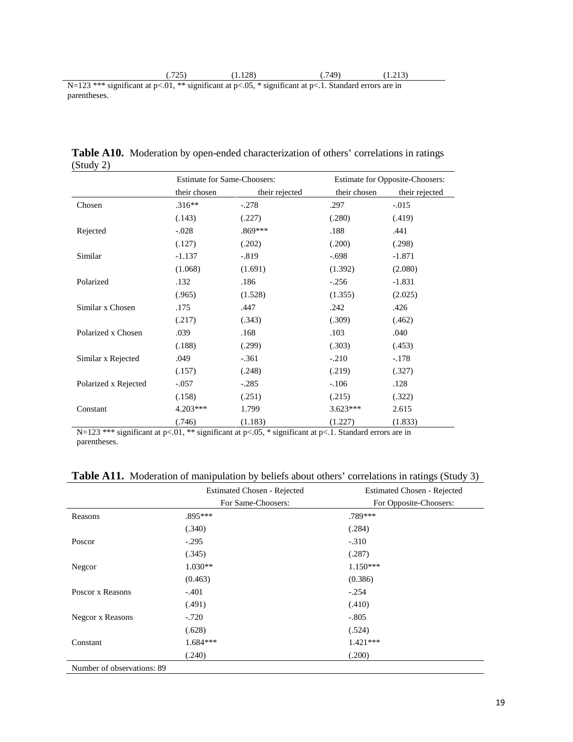| 1.128<br>ر 1 کال<br>$\cdots$<br>the contract of the contract of the contract of |
|---------------------------------------------------------------------------------|
|---------------------------------------------------------------------------------|

N=123 \*\*\* significant at p<.01, \*\* significant at p<.05, \* significant at p<.1. Standard errors are in parentheses.

|                      | <b>Estimate for Same-Choosers:</b> |                | Estimate for Opposite-Choosers: |                |
|----------------------|------------------------------------|----------------|---------------------------------|----------------|
|                      | their chosen                       | their rejected | their chosen                    | their rejected |
| Chosen               | $.316**$                           | $-.278$        | .297                            | $-.015$        |
|                      | (.143)                             | (.227)         | (.280)                          | (.419)         |
| Rejected             | $-.028$                            | .869***        | .188                            | .441           |
|                      | (.127)                             | (.202)         | (.200)                          | (.298)         |
| Similar              | $-1.137$                           | $-.819$        | $-.698$                         | $-1.871$       |
|                      | (1.068)                            | (1.691)        | (1.392)                         | (2.080)        |
| Polarized            | .132                               | .186           | $-.256$                         | $-1.831$       |
|                      | (.965)                             | (1.528)        | (1.355)                         | (2.025)        |
| Similar x Chosen     | .175                               | .447           | .242                            | .426           |
|                      | (.217)                             | (.343)         | (.309)                          | (.462)         |
| Polarized x Chosen   | .039                               | .168           | .103                            | .040           |
|                      | (.188)                             | (.299)         | (.303)                          | (.453)         |
| Similar x Rejected   | .049                               | $-.361$        | $-.210$                         | $-.178$        |
|                      | (.157)                             | (.248)         | (.219)                          | (.327)         |
| Polarized x Rejected | $-.057$                            | $-.285$        | $-.106$                         | .128           |
|                      | (.158)                             | (.251)         | (.215)                          | (.322)         |
| Constant             | 4.203***                           | 1.799          | $3.623***$                      | 2.615          |
|                      | (.746)                             | (1.183)        | (1.227)                         | (1.833)        |

**Table A10.** Moderation by open-ended characterization of others' correlations in ratings (Study 2)

N=123 \*\*\* significant at p<.01, \*\* significant at p<.05, \* significant at p<.1. Standard errors are in parentheses.

|  |  | Table A11. Moderation of manipulation by beliefs about others' correlations in ratings (Study 3) |  |  |
|--|--|--------------------------------------------------------------------------------------------------|--|--|
|--|--|--------------------------------------------------------------------------------------------------|--|--|

|                            | Estimated Chosen - Rejected | <b>Estimated Chosen - Rejected</b> |
|----------------------------|-----------------------------|------------------------------------|
|                            | For Same-Choosers:          | For Opposite-Choosers:             |
| Reasons                    | $.895***$                   | .789***                            |
|                            | (.340)                      | (.284)                             |
| Poscor                     | $-.295$                     | $-.310$                            |
|                            | (.345)                      | (.287)                             |
| Negcor                     | $1.030**$                   | $1.150***$                         |
|                            | (0.463)                     | (0.386)                            |
| Poscor x Reasons           | $-.401$                     | $-.254$                            |
|                            | (.491)                      | (.410)                             |
| Negcor x Reasons           | $-.720$                     | $-.805$                            |
|                            | (.628)                      | (.524)                             |
| Constant                   | $1.684***$                  | $1.421***$                         |
|                            | (.240)                      | (.200)                             |
| Number of observations: 89 |                             |                                    |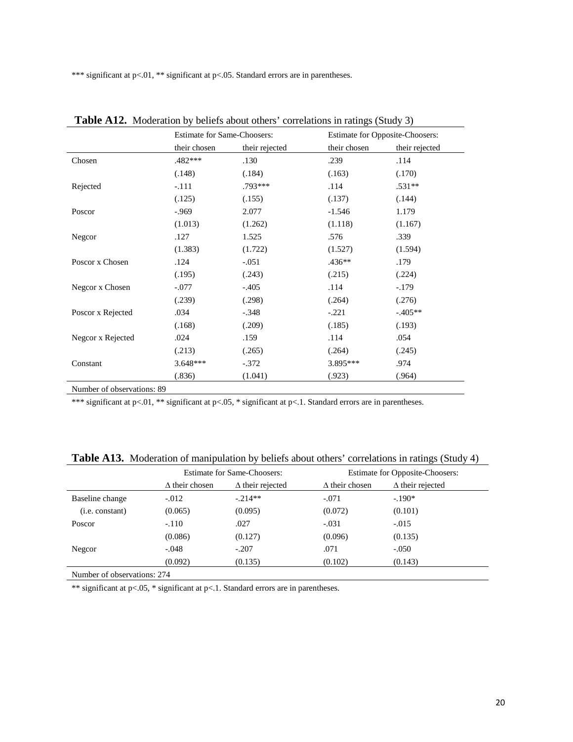\*\*\* significant at p<.01, \*\* significant at p<.05. Standard errors are in parentheses.

|                   | <b>Estimate for Same-Choosers:</b> |                | Estimate for Opposite-Choosers: |                |
|-------------------|------------------------------------|----------------|---------------------------------|----------------|
|                   | their chosen                       | their rejected | their chosen                    | their rejected |
| Chosen            | $.482***$                          | .130           | .239                            | .114           |
|                   | (.148)                             | (.184)         | (.163)                          | (.170)         |
| Rejected          | $-.111$                            | $.793***$      | .114                            | $.531**$       |
|                   | (.125)                             | (.155)         | (.137)                          | (.144)         |
| Poscor            | $-.969$                            | 2.077          | $-1.546$                        | 1.179          |
|                   | (1.013)                            | (1.262)        | (1.118)                         | (1.167)        |
| Negcor            | .127                               | 1.525          | .576                            | .339           |
|                   | (1.383)                            | (1.722)        | (1.527)                         | (1.594)        |
| Poscor x Chosen   | .124                               | $-.051$        | $.436**$                        | .179           |
|                   | (.195)                             | (.243)         | (.215)                          | (.224)         |
| Negcor x Chosen   | $-.077$                            | $-.405$        | .114                            | $-.179$        |
|                   | (.239)                             | (.298)         | (.264)                          | (.276)         |
| Poscor x Rejected | .034                               | $-.348$        | $-.221$                         | $-.405**$      |
|                   | (.168)                             | (.209)         | (.185)                          | (.193)         |
| Negcor x Rejected | .024                               | .159           | .114                            | .054           |
|                   | (.213)                             | (.265)         | (.264)                          | (.245)         |
| Constant          | $3.648***$                         | $-.372$        | 3.895***                        | .974           |
|                   | (.836)                             | (1.041)        | (.923)                          | (.964)         |

**Table A12.** Moderation by beliefs about others' correlations in ratings (Study 3)

Number of observations: 89

\*\*\* significant at p<.01, \*\* significant at p<.05, \* significant at p<.1. Standard errors are in parentheses.

|                 |                                    | <b>Estimate for Same-Choosers:</b> |                             | <b>Estimate for Opposite-Choosers:</b> |
|-----------------|------------------------------------|------------------------------------|-----------------------------|----------------------------------------|
|                 | $\Delta$ their chosen              | $\Delta$ their rejected            | $\Delta$ their chosen       | $\Delta$ their rejected                |
| Baseline change | $-.012$                            | $-214**$                           | $-.071$                     | $-190*$                                |
|                 | $\sim$ $\sim$ $\sim$ $\sim$ $\sim$ | $\sim$ $\sim$ $\sim$ $\sim$ $\sim$ | $\sim$ $\sim$ $\sim$ $\sim$ | $\sim$ $\sim$ $\sim$ $\sim$            |

**Table A13.** Moderation of manipulation by beliefs about others' correlations in ratings (Study 4)

|                             |                       | езиннате тот манне-стноветъ. |                       | Estimate for Opposite-Choosers. |  |
|-----------------------------|-----------------------|------------------------------|-----------------------|---------------------------------|--|
|                             | $\Delta$ their chosen | $\Delta$ their rejected      | $\Delta$ their chosen | $\Delta$ their rejected         |  |
| Baseline change             | $-.012$               | $-.214**$                    | $-.071$               | $-.190*$                        |  |
| (i.e. constant)             | (0.065)               | (0.095)                      | (0.072)               | (0.101)                         |  |
| Poscor                      | $-.110$               | .027                         | $-.031$               | $-.015$                         |  |
|                             | (0.086)               | (0.127)                      | (0.096)               | (0.135)                         |  |
| Negcor                      | $-.048$               | $-.207$                      | .071                  | $-.050$                         |  |
|                             | (0.092)               | (0.135)                      | (0.102)               | (0.143)                         |  |
| Number of observations: 274 |                       |                              |                       |                                 |  |

\*\* significant at p<.05, \* significant at p<.1. Standard errors are in parentheses.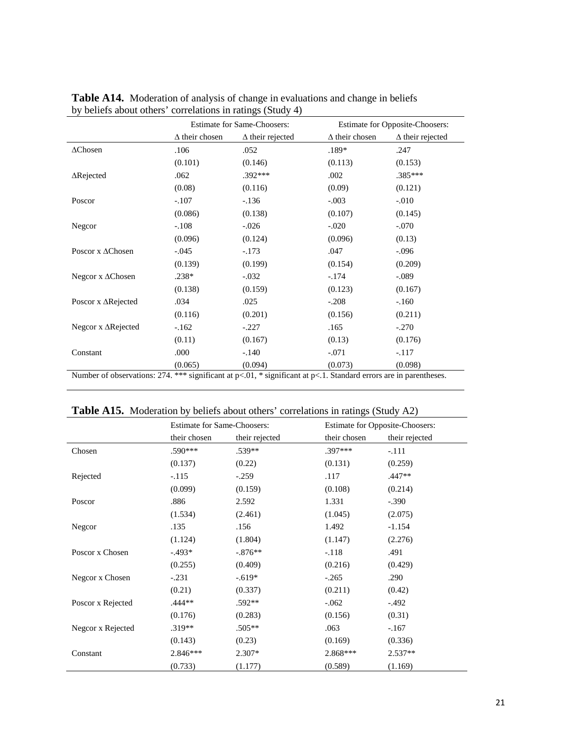|                                                                                                                    | <b>Estimate for Same-Choosers:</b> |                         | Estimate for Opposite-Choosers: |                                 |
|--------------------------------------------------------------------------------------------------------------------|------------------------------------|-------------------------|---------------------------------|---------------------------------|
|                                                                                                                    | $\Delta$ their chosen              | $\Delta$ their rejected | $\Delta$ their chosen           | $\Delta$ their rejected         |
| $\triangle$ Chosen                                                                                                 | .106                               | .052                    | $.189*$                         | .247                            |
|                                                                                                                    | (0.101)                            | (0.146)                 | (0.113)                         | (0.153)                         |
| $\Delta$ Rejected                                                                                                  | .062                               | $.392***$               | .002                            | $.385***$                       |
|                                                                                                                    | (0.08)                             | (0.116)                 | (0.09)                          | (0.121)                         |
| Poscor                                                                                                             | $-.107$                            | $-.136$                 | $-.003$                         | $-.010$                         |
|                                                                                                                    | (0.086)                            | (0.138)                 | (0.107)                         | (0.145)                         |
| Negcor                                                                                                             | $-.108$                            | $-.026$                 | $-.020$                         | $-.070$                         |
|                                                                                                                    | (0.096)                            | (0.124)                 | (0.096)                         | (0.13)                          |
| Poscor x AChosen                                                                                                   | $-.045$                            | $-.173$                 | .047                            | $-.096$                         |
|                                                                                                                    | (0.139)                            | (0.199)                 | (0.154)                         | (0.209)                         |
| Negcor $x \Delta$ Chosen                                                                                           | $.238*$                            | $-.032$                 | $-.174$                         | $-.089$                         |
|                                                                                                                    | (0.138)                            | (0.159)                 | (0.123)                         | (0.167)                         |
| Poscor $x \Delta$ Rejected                                                                                         | .034                               | .025                    | $-.208$                         | $-.160$                         |
|                                                                                                                    | (0.116)                            | (0.201)                 | (0.156)                         | (0.211)                         |
| Negcor $x \Delta$ Rejected                                                                                         | $-162$                             | $-.227$                 | .165                            | $-.270$                         |
|                                                                                                                    | (0.11)                             | (0.167)                 | (0.13)                          | (0.176)                         |
| Constant                                                                                                           | .000                               | $-.140$                 | $-.071$                         | $-.117$                         |
| Number of observational 274 *** significant at $n \times 0.1$ * significant at $n \times 1$ . Ctorologic among any | (0.065)                            | (0.094)                 | (0.073)                         | (0.098)<br>$\ldots$ nononthonor |

**Table A14.** Moderation of analysis of change in evaluations and change in beliefs by beliefs about others' correlations in ratings (Study 4)

Number of observations: 274. \*\*\* significant at p<.01, \* significant at p<.1. Standard errors are in parentheses.

|  |  |  | Table A15. Moderation by beliefs about others' correlations in ratings (Study A2) |  |  |
|--|--|--|-----------------------------------------------------------------------------------|--|--|
|--|--|--|-----------------------------------------------------------------------------------|--|--|

|                   | <b>Estimate for Same-Choosers:</b> |                | <b>Estimate for Opposite-Choosers:</b> |                |
|-------------------|------------------------------------|----------------|----------------------------------------|----------------|
|                   | their chosen                       | their rejected | their chosen                           | their rejected |
| Chosen            | $.590***$                          | .539**         | $.397***$                              | $-.111$        |
|                   | (0.137)                            | (0.22)         | (0.131)                                | (0.259)        |
| Rejected          | $-.115$                            | $-.259$        | .117                                   | $.447**$       |
|                   | (0.099)                            | (0.159)        | (0.108)                                | (0.214)        |
| Poscor            | .886                               | 2.592          | 1.331                                  | $-.390$        |
|                   | (1.534)                            | (2.461)        | (1.045)                                | (2.075)        |
| Negcor            | .135                               | .156           | 1.492                                  | $-1.154$       |
|                   | (1.124)                            | (1.804)        | (1.147)                                | (2.276)        |
| Poscor x Chosen   | $-0.493*$                          | $-.876**$      | $-.118$                                | .491           |
|                   | (0.255)                            | (0.409)        | (0.216)                                | (0.429)        |
| Negcor x Chosen   | $-.231$                            | $-.619*$       | $-.265$                                | .290           |
|                   | (0.21)                             | (0.337)        | (0.211)                                | (0.42)         |
| Poscor x Rejected | $.444**$                           | $.592**$       | $-.062$                                | $-.492$        |
|                   | (0.176)                            | (0.283)        | (0.156)                                | (0.31)         |
| Negcor x Rejected | $.319**$                           | $.505**$       | .063                                   | $-.167$        |
|                   | (0.143)                            | (0.23)         | (0.169)                                | (0.336)        |
| Constant          | $2.846***$                         | $2.307*$       | 2.868***                               | $2.537**$      |
|                   | (0.733)                            | (1.177)        | (0.589)                                | (1.169)        |